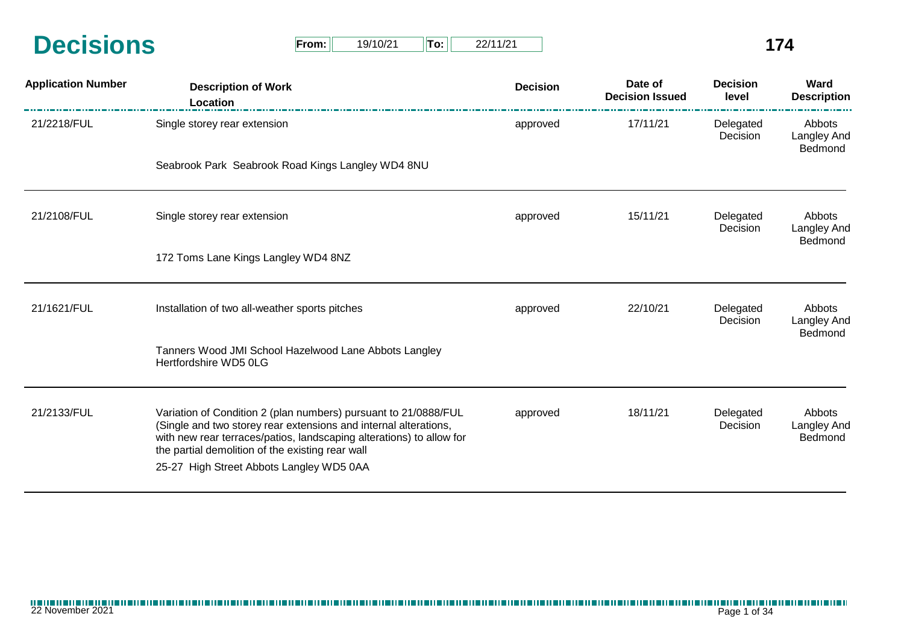| <b>Decisions</b> | From: | 19/10/21 | $T$ o: | 22/1' |  |
|------------------|-------|----------|--------|-------|--|
|                  |       |          |        |       |  |

| <b>Application Number</b> | <b>Description of Work</b><br>Location                                                                                                                                                                                                                          | <b>Decision</b> | Date of<br><b>Decision Issued</b> | <b>Decision</b><br>level | Ward<br><b>Description</b>              |
|---------------------------|-----------------------------------------------------------------------------------------------------------------------------------------------------------------------------------------------------------------------------------------------------------------|-----------------|-----------------------------------|--------------------------|-----------------------------------------|
| 21/2218/FUL               | Single storey rear extension                                                                                                                                                                                                                                    | approved        | 17/11/21                          | Delegated<br>Decision    | Abbots<br>Langley And<br>Bedmond        |
|                           | Seabrook Park Seabrook Road Kings Langley WD4 8NU                                                                                                                                                                                                               |                 |                                   |                          |                                         |
| 21/2108/FUL               | Single storey rear extension                                                                                                                                                                                                                                    | approved        | 15/11/21                          | Delegated<br>Decision    | Abbots<br>Langley And<br><b>Bedmond</b> |
|                           | 172 Toms Lane Kings Langley WD4 8NZ                                                                                                                                                                                                                             |                 |                                   |                          |                                         |
| 21/1621/FUL               | Installation of two all-weather sports pitches                                                                                                                                                                                                                  | approved        | 22/10/21                          | Delegated<br>Decision    | Abbots<br>Langley And<br>Bedmond        |
|                           | Tanners Wood JMI School Hazelwood Lane Abbots Langley<br>Hertfordshire WD5 0LG                                                                                                                                                                                  |                 |                                   |                          |                                         |
| 21/2133/FUL               | Variation of Condition 2 (plan numbers) pursuant to 21/0888/FUL<br>(Single and two storey rear extensions and internal alterations,<br>with new rear terraces/patios, landscaping alterations) to allow for<br>the partial demolition of the existing rear wall | approved        | 18/11/21                          | Delegated<br>Decision    | Abbots<br>Langley And<br>Bedmond        |
|                           | 25-27 High Street Abbots Langley WD5 0AA                                                                                                                                                                                                                        |                 |                                   |                          |                                         |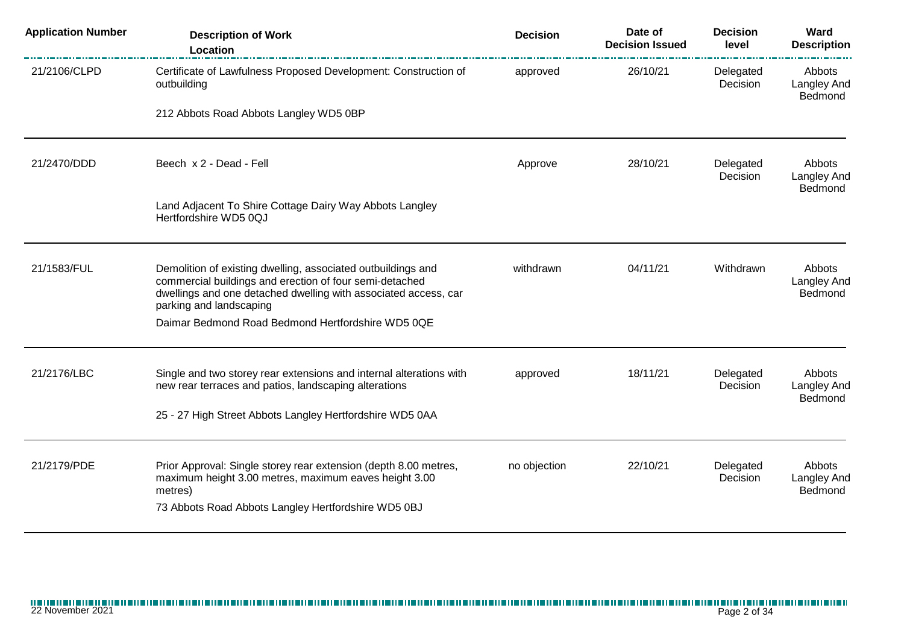| <b>Application Number</b> | <b>Description of Work</b><br>Location                                                                                                                                                                                | <b>Decision</b> | Date of<br><b>Decision Issued</b> | <b>Decision</b><br>level | <b>Ward</b><br><b>Description</b>       |
|---------------------------|-----------------------------------------------------------------------------------------------------------------------------------------------------------------------------------------------------------------------|-----------------|-----------------------------------|--------------------------|-----------------------------------------|
| 21/2106/CLPD              | Certificate of Lawfulness Proposed Development: Construction of<br>outbuilding                                                                                                                                        | approved        | 26/10/21                          | Delegated<br>Decision    | Abbots<br><b>Langley And</b><br>Bedmond |
|                           | 212 Abbots Road Abbots Langley WD5 0BP                                                                                                                                                                                |                 |                                   |                          |                                         |
| 21/2470/DDD               | Beech x 2 - Dead - Fell                                                                                                                                                                                               | Approve         | 28/10/21                          | Delegated<br>Decision    | Abbots<br>Langley And<br>Bedmond        |
|                           | Land Adjacent To Shire Cottage Dairy Way Abbots Langley<br>Hertfordshire WD5 0QJ                                                                                                                                      |                 |                                   |                          |                                         |
| 21/1583/FUL               | Demolition of existing dwelling, associated outbuildings and<br>commercial buildings and erection of four semi-detached<br>dwellings and one detached dwelling with associated access, car<br>parking and landscaping | withdrawn       | 04/11/21                          | Withdrawn                | Abbots<br>Langley And<br>Bedmond        |
|                           | Daimar Bedmond Road Bedmond Hertfordshire WD5 0QE                                                                                                                                                                     |                 |                                   |                          |                                         |
| 21/2176/LBC               | Single and two storey rear extensions and internal alterations with<br>new rear terraces and patios, landscaping alterations                                                                                          | approved        | 18/11/21                          | Delegated<br>Decision    | Abbots<br>Langley And<br>Bedmond        |
|                           | 25 - 27 High Street Abbots Langley Hertfordshire WD5 0AA                                                                                                                                                              |                 |                                   |                          |                                         |
| 21/2179/PDE               | Prior Approval: Single storey rear extension (depth 8.00 metres,<br>maximum height 3.00 metres, maximum eaves height 3.00<br>metres)<br>73 Abbots Road Abbots Langley Hertfordshire WD5 0BJ                           | no objection    | 22/10/21                          | Delegated<br>Decision    | Abbots<br>Langley And<br>Bedmond        |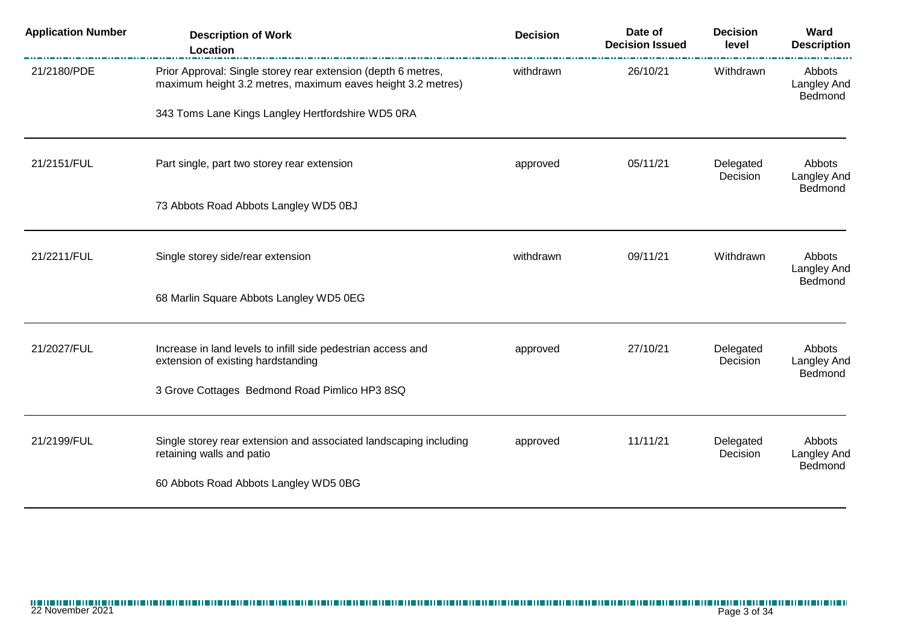| <b>Application Number</b> | <b>Description of Work</b><br>Location                                                                                       | <b>Decision</b> | Date of<br><b>Decision Issued</b> | <b>Decision</b><br>level | Ward<br><b>Description</b>              |
|---------------------------|------------------------------------------------------------------------------------------------------------------------------|-----------------|-----------------------------------|--------------------------|-----------------------------------------|
| 21/2180/PDE               | Prior Approval: Single storey rear extension (depth 6 metres,<br>maximum height 3.2 metres, maximum eaves height 3.2 metres) | withdrawn       | 26/10/21                          | Withdrawn                | Abbots<br><b>Langley And</b><br>Bedmond |
|                           | 343 Toms Lane Kings Langley Hertfordshire WD5 0RA                                                                            |                 |                                   |                          |                                         |
| 21/2151/FUL               | Part single, part two storey rear extension                                                                                  | approved        | 05/11/21<br>Delegated<br>Decision |                          | Abbots<br><b>Langley And</b><br>Bedmond |
|                           | 73 Abbots Road Abbots Langley WD5 0BJ                                                                                        |                 |                                   |                          |                                         |
| 21/2211/FUL               | Single storey side/rear extension                                                                                            | withdrawn       | 09/11/21                          | Withdrawn                | Abbots<br><b>Langley And</b><br>Bedmond |
|                           | 68 Marlin Square Abbots Langley WD5 0EG                                                                                      |                 |                                   |                          |                                         |
| 21/2027/FUL               | Increase in land levels to infill side pedestrian access and<br>extension of existing hardstanding                           | approved        | 27/10/21                          | Delegated<br>Decision    | Abbots<br><b>Langley And</b>            |
|                           | 3 Grove Cottages Bedmond Road Pimlico HP3 8SQ                                                                                |                 |                                   |                          | Bedmond                                 |
| 21/2199/FUL               | Single storey rear extension and associated landscaping including<br>retaining walls and patio                               | approved        | 11/11/21                          | Delegated<br>Decision    | Abbots<br><b>Langley And</b>            |
|                           | 60 Abbots Road Abbots Langley WD5 0BG                                                                                        |                 |                                   |                          | Bedmond                                 |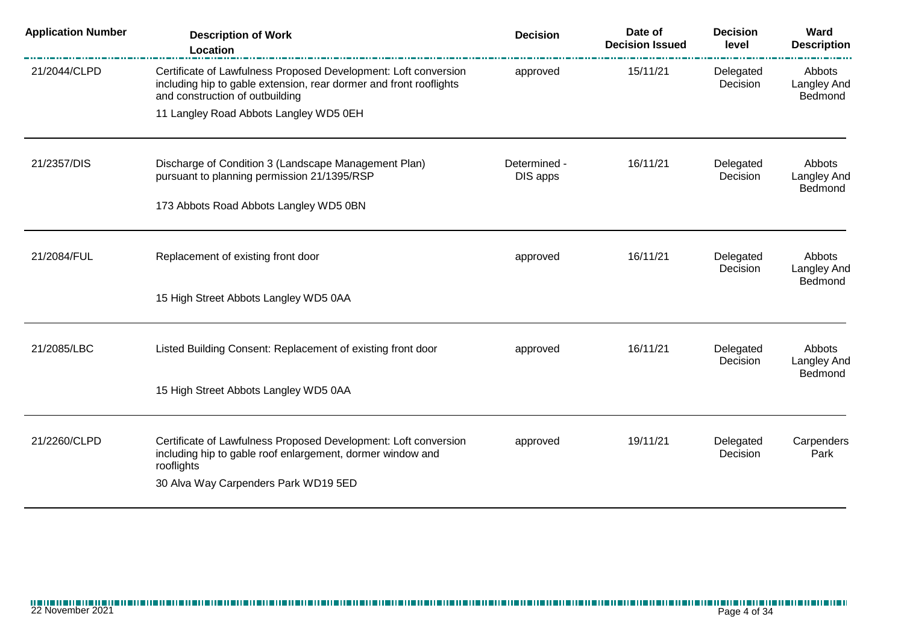| <b>Application Number</b> | <b>Description of Work</b><br>Location                                                                                                                                              | <b>Decision</b>          | Date of<br><b>Decision Issued</b> | <b>Decision</b><br>level | Ward<br><b>Description</b>              |
|---------------------------|-------------------------------------------------------------------------------------------------------------------------------------------------------------------------------------|--------------------------|-----------------------------------|--------------------------|-----------------------------------------|
| 21/2044/CLPD              | Certificate of Lawfulness Proposed Development: Loft conversion<br>including hip to gable extension, rear dormer and front rooflights<br>and construction of outbuilding            | approved                 | 15/11/21                          | Delegated<br>Decision    | Abbots<br>Langley And<br>Bedmond        |
|                           | 11 Langley Road Abbots Langley WD5 0EH                                                                                                                                              |                          |                                   |                          |                                         |
| 21/2357/DIS               | Discharge of Condition 3 (Landscape Management Plan)<br>pursuant to planning permission 21/1395/RSP                                                                                 | Determined -<br>DIS apps | 16/11/21                          | Delegated<br>Decision    | Abbots<br>Langley And<br>Bedmond        |
|                           | 173 Abbots Road Abbots Langley WD5 0BN                                                                                                                                              |                          |                                   |                          |                                         |
| 21/2084/FUL               | Replacement of existing front door                                                                                                                                                  | approved                 | 16/11/21                          | Delegated<br>Decision    | Abbots<br>Langley And<br><b>Bedmond</b> |
|                           | 15 High Street Abbots Langley WD5 0AA                                                                                                                                               |                          |                                   |                          |                                         |
| 21/2085/LBC               | Listed Building Consent: Replacement of existing front door                                                                                                                         | approved                 | 16/11/21                          | Delegated<br>Decision    | Abbots<br>Langley And<br>Bedmond        |
|                           | 15 High Street Abbots Langley WD5 0AA                                                                                                                                               |                          |                                   |                          |                                         |
| 21/2260/CLPD              | Certificate of Lawfulness Proposed Development: Loft conversion<br>including hip to gable roof enlargement, dormer window and<br>rooflights<br>30 Alva Way Carpenders Park WD19 5ED | approved                 | 19/11/21                          | Delegated<br>Decision    | Carpenders<br>Park                      |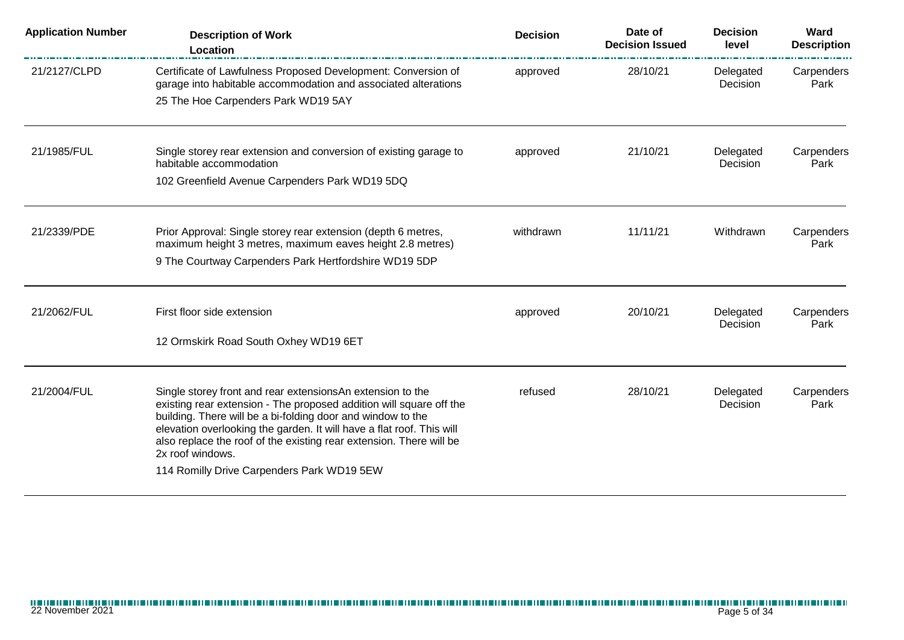| <b>Application Number</b> | <b>Description of Work</b><br>Location                                                                                                                                                                                                                                                                                                                                                                             | <b>Decision</b> | Date of<br><b>Decision Issued</b> | <b>Decision</b><br>level | Ward<br><b>Description</b> |
|---------------------------|--------------------------------------------------------------------------------------------------------------------------------------------------------------------------------------------------------------------------------------------------------------------------------------------------------------------------------------------------------------------------------------------------------------------|-----------------|-----------------------------------|--------------------------|----------------------------|
| 21/2127/CLPD              | Certificate of Lawfulness Proposed Development: Conversion of<br>garage into habitable accommodation and associated alterations                                                                                                                                                                                                                                                                                    | approved        | 28/10/21                          | Delegated<br>Decision    | Carpenders<br>Park         |
|                           | 25 The Hoe Carpenders Park WD19 5AY                                                                                                                                                                                                                                                                                                                                                                                |                 |                                   |                          |                            |
| 21/1985/FUL               | Single storey rear extension and conversion of existing garage to<br>habitable accommodation                                                                                                                                                                                                                                                                                                                       | approved        | 21/10/21                          | Delegated<br>Decision    | Carpenders<br>Park         |
|                           | 102 Greenfield Avenue Carpenders Park WD19 5DQ                                                                                                                                                                                                                                                                                                                                                                     |                 |                                   |                          |                            |
| 21/2339/PDE               | Prior Approval: Single storey rear extension (depth 6 metres,<br>maximum height 3 metres, maximum eaves height 2.8 metres)                                                                                                                                                                                                                                                                                         | withdrawn       | 11/11/21                          | Withdrawn                | Carpenders<br>Park         |
|                           | 9 The Courtway Carpenders Park Hertfordshire WD19 5DP                                                                                                                                                                                                                                                                                                                                                              |                 |                                   |                          |                            |
| 21/2062/FUL               | First floor side extension                                                                                                                                                                                                                                                                                                                                                                                         | approved        | 20/10/21                          | Delegated<br>Decision    | Carpenders<br>Park         |
|                           | 12 Ormskirk Road South Oxhey WD19 6ET                                                                                                                                                                                                                                                                                                                                                                              |                 |                                   |                          |                            |
| 21/2004/FUL               | Single storey front and rear extensionsAn extension to the<br>existing rear extension - The proposed addition will square off the<br>building. There will be a bi-folding door and window to the<br>elevation overlooking the garden. It will have a flat roof. This will<br>also replace the roof of the existing rear extension. There will be<br>2x roof windows.<br>114 Romilly Drive Carpenders Park WD19 5EW | refused         | 28/10/21                          | Delegated<br>Decision    | Carpenders<br>Park         |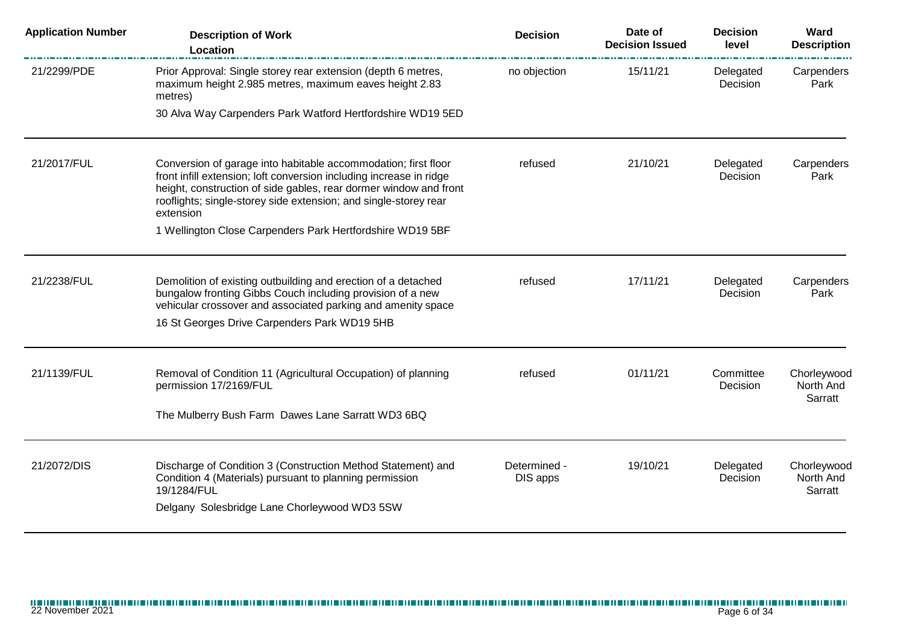| <b>Application Number</b> | <b>Description of Work</b><br>Location                                                                                                                                                                                                                                                      | <b>Decision</b>          | Date of<br><b>Decision Issued</b> | <b>Decision</b><br>level | Ward<br><b>Description</b>          |
|---------------------------|---------------------------------------------------------------------------------------------------------------------------------------------------------------------------------------------------------------------------------------------------------------------------------------------|--------------------------|-----------------------------------|--------------------------|-------------------------------------|
| 21/2299/PDE               | Prior Approval: Single storey rear extension (depth 6 metres,<br>maximum height 2.985 metres, maximum eaves height 2.83<br>metres)                                                                                                                                                          | no objection             | 15/11/21                          | Delegated<br>Decision    | Carpenders<br>Park                  |
|                           | 30 Alva Way Carpenders Park Watford Hertfordshire WD19 5ED                                                                                                                                                                                                                                  |                          |                                   |                          |                                     |
| 21/2017/FUL               | Conversion of garage into habitable accommodation; first floor<br>front infill extension; loft conversion including increase in ridge<br>height, construction of side gables, rear dormer window and front<br>rooflights; single-storey side extension; and single-storey rear<br>extension | refused                  | 21/10/21                          | Delegated<br>Decision    | Carpenders<br>Park                  |
|                           | 1 Wellington Close Carpenders Park Hertfordshire WD19 5BF                                                                                                                                                                                                                                   |                          |                                   |                          |                                     |
| 21/2238/FUL               | Demolition of existing outbuilding and erection of a detached<br>bungalow fronting Gibbs Couch including provision of a new<br>vehicular crossover and associated parking and amenity space                                                                                                 | refused                  | 17/11/21                          | Delegated<br>Decision    | Carpenders<br>Park                  |
|                           | 16 St Georges Drive Carpenders Park WD19 5HB                                                                                                                                                                                                                                                |                          |                                   |                          |                                     |
| 21/1139/FUL               | Removal of Condition 11 (Agricultural Occupation) of planning<br>permission 17/2169/FUL                                                                                                                                                                                                     | refused                  | 01/11/21                          | Committee<br>Decision    | Chorleywood<br>North And<br>Sarratt |
|                           | The Mulberry Bush Farm Dawes Lane Sarratt WD3 6BQ                                                                                                                                                                                                                                           |                          |                                   |                          |                                     |
| 21/2072/DIS               | Discharge of Condition 3 (Construction Method Statement) and<br>Condition 4 (Materials) pursuant to planning permission<br>19/1284/FUL<br>Delgany Solesbridge Lane Chorleywood WD3 5SW                                                                                                      | Determined -<br>DIS apps | 19/10/21                          | Delegated<br>Decision    | Chorleywood<br>North And<br>Sarratt |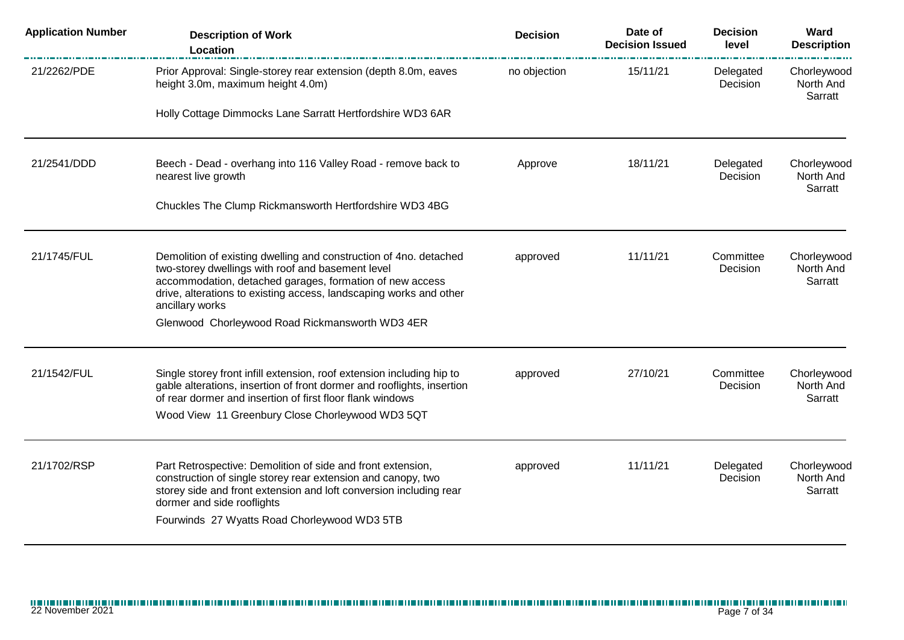| <b>Application Number</b> | <b>Description of Work</b><br>Location                                                                                                                                                                                                                                          | <b>Decision</b> | Date of<br><b>Decision Issued</b> | <b>Decision</b><br>level | Ward<br><b>Description</b>          |
|---------------------------|---------------------------------------------------------------------------------------------------------------------------------------------------------------------------------------------------------------------------------------------------------------------------------|-----------------|-----------------------------------|--------------------------|-------------------------------------|
| 21/2262/PDE               | Prior Approval: Single-storey rear extension (depth 8.0m, eaves<br>height 3.0m, maximum height 4.0m)                                                                                                                                                                            | no objection    | 15/11/21                          | Delegated<br>Decision    | Chorleywood<br>North And<br>Sarratt |
|                           | Holly Cottage Dimmocks Lane Sarratt Hertfordshire WD3 6AR                                                                                                                                                                                                                       |                 |                                   |                          |                                     |
| 21/2541/DDD               | Beech - Dead - overhang into 116 Valley Road - remove back to<br>nearest live growth                                                                                                                                                                                            | Approve         | 18/11/21                          | Delegated<br>Decision    | Chorleywood<br>North And<br>Sarratt |
|                           | Chuckles The Clump Rickmansworth Hertfordshire WD3 4BG                                                                                                                                                                                                                          |                 |                                   |                          |                                     |
| 21/1745/FUL               | Demolition of existing dwelling and construction of 4no. detached<br>two-storey dwellings with roof and basement level<br>accommodation, detached garages, formation of new access<br>drive, alterations to existing access, landscaping works and other<br>ancillary works     | approved        | 11/11/21                          | Committee<br>Decision    | Chorleywood<br>North And<br>Sarratt |
|                           | Glenwood Chorleywood Road Rickmansworth WD3 4ER                                                                                                                                                                                                                                 |                 |                                   |                          |                                     |
| 21/1542/FUL               | Single storey front infill extension, roof extension including hip to<br>gable alterations, insertion of front dormer and rooflights, insertion<br>of rear dormer and insertion of first floor flank windows                                                                    | approved        | 27/10/21                          | Committee<br>Decision    | Chorleywood<br>North And<br>Sarratt |
|                           | Wood View 11 Greenbury Close Chorleywood WD3 5QT                                                                                                                                                                                                                                |                 |                                   |                          |                                     |
| 21/1702/RSP               | Part Retrospective: Demolition of side and front extension,<br>construction of single storey rear extension and canopy, two<br>storey side and front extension and loft conversion including rear<br>dormer and side rooflights<br>Fourwinds 27 Wyatts Road Chorleywood WD3 5TB | approved        | 11/11/21                          | Delegated<br>Decision    | Chorleywood<br>North And<br>Sarratt |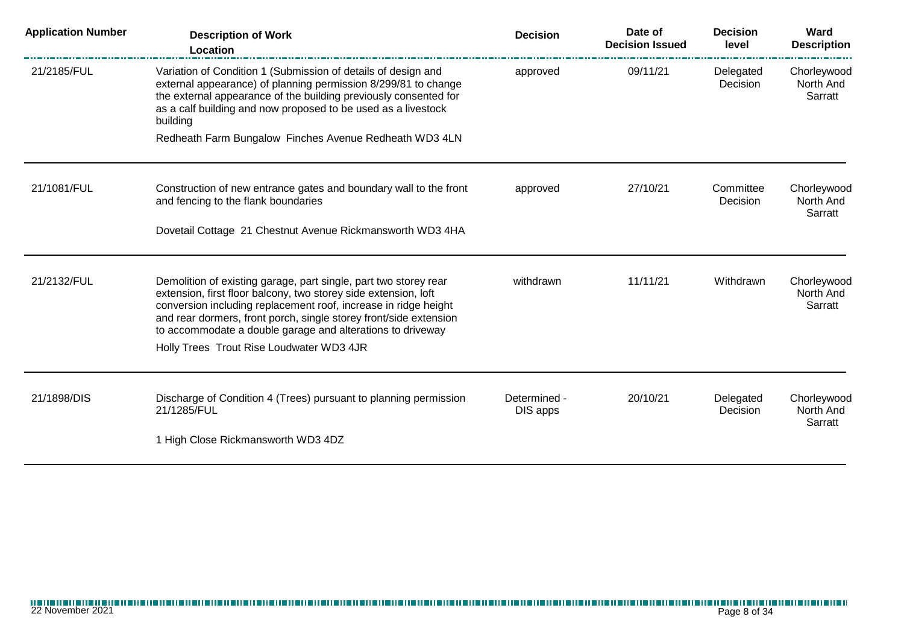| <b>Application Number</b> | <b>Description of Work</b><br>Location                                                                                                                                                                                                                                                                                                    | <b>Decision</b>          | Date of<br><b>Decision Issued</b> | <b>Decision</b><br>level | Ward<br><b>Description</b>          |
|---------------------------|-------------------------------------------------------------------------------------------------------------------------------------------------------------------------------------------------------------------------------------------------------------------------------------------------------------------------------------------|--------------------------|-----------------------------------|--------------------------|-------------------------------------|
| 21/2185/FUL               | Variation of Condition 1 (Submission of details of design and<br>external appearance) of planning permission 8/299/81 to change<br>the external appearance of the building previously consented for<br>as a calf building and now proposed to be used as a livestock<br>building                                                          | approved                 | 09/11/21                          | Delegated<br>Decision    | Chorleywood<br>North And<br>Sarratt |
|                           | Redheath Farm Bungalow Finches Avenue Redheath WD3 4LN                                                                                                                                                                                                                                                                                    |                          |                                   |                          |                                     |
| 21/1081/FUL               | Construction of new entrance gates and boundary wall to the front<br>and fencing to the flank boundaries                                                                                                                                                                                                                                  | approved                 | 27/10/21                          | Committee<br>Decision    | Chorleywood<br>North And<br>Sarratt |
|                           | Dovetail Cottage 21 Chestnut Avenue Rickmansworth WD3 4HA                                                                                                                                                                                                                                                                                 |                          |                                   |                          |                                     |
| 21/2132/FUL               | Demolition of existing garage, part single, part two storey rear<br>extension, first floor balcony, two storey side extension, loft<br>conversion including replacement roof, increase in ridge height<br>and rear dormers, front porch, single storey front/side extension<br>to accommodate a double garage and alterations to driveway | withdrawn                | 11/11/21                          | Withdrawn                | Chorleywood<br>North And<br>Sarratt |
|                           | Holly Trees Trout Rise Loudwater WD3 4JR                                                                                                                                                                                                                                                                                                  |                          |                                   |                          |                                     |
| 21/1898/DIS               | Discharge of Condition 4 (Trees) pursuant to planning permission<br>21/1285/FUL                                                                                                                                                                                                                                                           | Determined -<br>DIS apps | 20/10/21                          | Delegated<br>Decision    | Chorleywood<br>North And<br>Sarratt |
|                           | 1 High Close Rickmansworth WD3 4DZ                                                                                                                                                                                                                                                                                                        |                          |                                   |                          |                                     |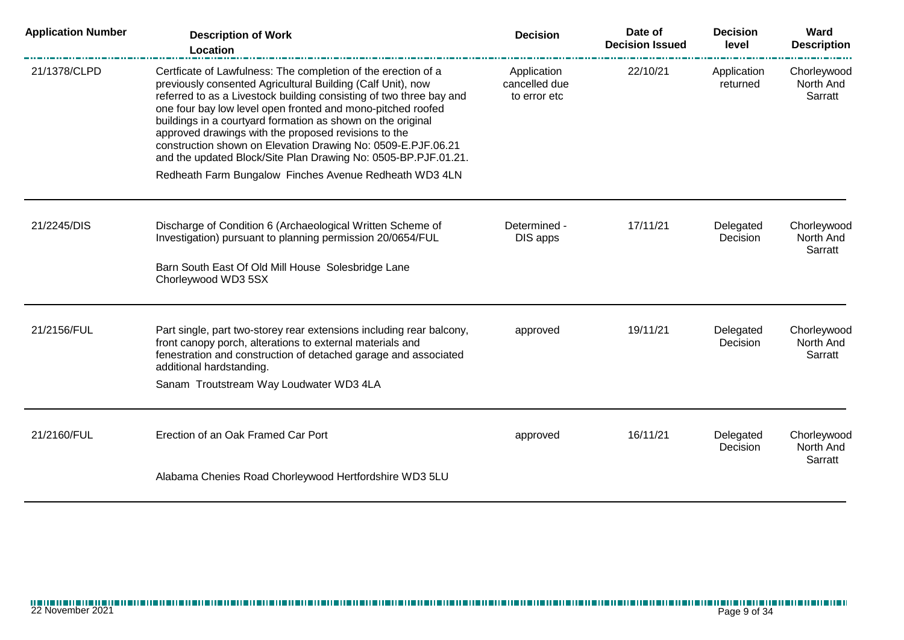| <b>Application Number</b> | <b>Description of Work</b><br><b>Location</b>                                                                                                                                                                                                                                                                                                                                                                                                                                                                                                                                         | <b>Decision</b>                              | Date of<br><b>Decision Issued</b> | <b>Decision</b><br>level | Ward<br><b>Description</b>          |
|---------------------------|---------------------------------------------------------------------------------------------------------------------------------------------------------------------------------------------------------------------------------------------------------------------------------------------------------------------------------------------------------------------------------------------------------------------------------------------------------------------------------------------------------------------------------------------------------------------------------------|----------------------------------------------|-----------------------------------|--------------------------|-------------------------------------|
| 21/1378/CLPD              | Certficate of Lawfulness: The completion of the erection of a<br>previously consented Agricultural Building (Calf Unit), now<br>referred to as a Livestock building consisting of two three bay and<br>one four bay low level open fronted and mono-pitched roofed<br>buildings in a courtyard formation as shown on the original<br>approved drawings with the proposed revisions to the<br>construction shown on Elevation Drawing No: 0509-E.PJF.06.21<br>and the updated Block/Site Plan Drawing No: 0505-BP.PJF.01.21.<br>Redheath Farm Bungalow Finches Avenue Redheath WD3 4LN | Application<br>cancelled due<br>to error etc | 22/10/21                          | Application<br>returned  | Chorleywood<br>North And<br>Sarratt |
|                           |                                                                                                                                                                                                                                                                                                                                                                                                                                                                                                                                                                                       |                                              |                                   |                          |                                     |
| 21/2245/DIS               | Discharge of Condition 6 (Archaeological Written Scheme of<br>Investigation) pursuant to planning permission 20/0654/FUL<br>Barn South East Of Old Mill House Solesbridge Lane<br>Chorleywood WD3 5SX                                                                                                                                                                                                                                                                                                                                                                                 | Determined -<br>DIS apps                     | 17/11/21                          | Delegated<br>Decision    | Chorleywood<br>North And<br>Sarratt |
|                           |                                                                                                                                                                                                                                                                                                                                                                                                                                                                                                                                                                                       |                                              |                                   |                          |                                     |
| 21/2156/FUL               | Part single, part two-storey rear extensions including rear balcony,<br>front canopy porch, alterations to external materials and<br>fenestration and construction of detached garage and associated<br>additional hardstanding.<br>Sanam Troutstream Way Loudwater WD3 4LA                                                                                                                                                                                                                                                                                                           | approved                                     | 19/11/21                          | Delegated<br>Decision    | Chorleywood<br>North And<br>Sarratt |
| 21/2160/FUL               | Erection of an Oak Framed Car Port                                                                                                                                                                                                                                                                                                                                                                                                                                                                                                                                                    | approved                                     | 16/11/21                          | Delegated<br>Decision    | Chorleywood<br>North And<br>Sarratt |
|                           | Alabama Chenies Road Chorleywood Hertfordshire WD3 5LU                                                                                                                                                                                                                                                                                                                                                                                                                                                                                                                                |                                              |                                   |                          |                                     |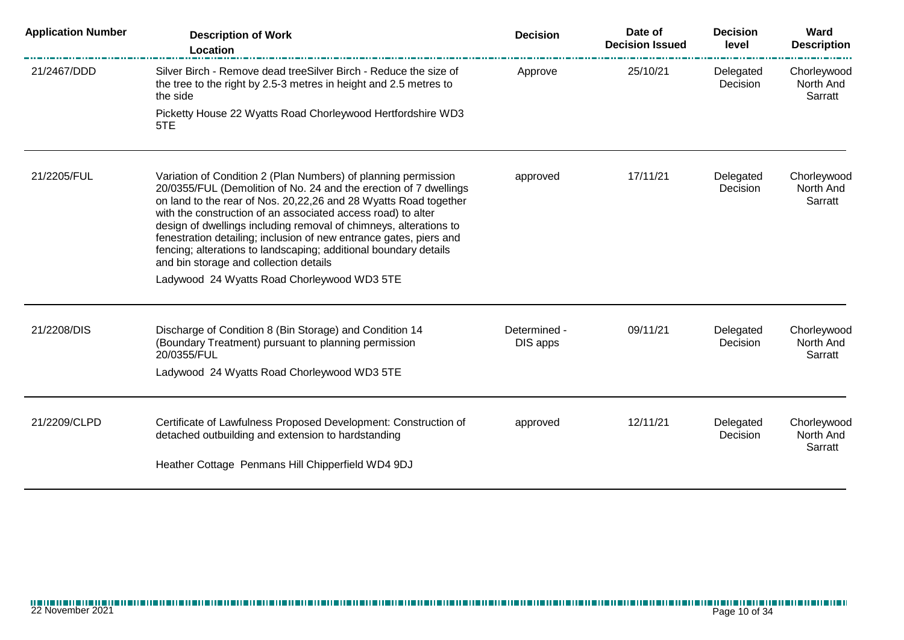| <b>Application Number</b> | <b>Description of Work</b><br>Location                                                                                                                                                                                                                                                                                                                                                                                                                                                                                           | <b>Decision</b>          | Date of<br><b>Decision Issued</b> | <b>Decision</b><br>level | Ward<br><b>Description</b>          |
|---------------------------|----------------------------------------------------------------------------------------------------------------------------------------------------------------------------------------------------------------------------------------------------------------------------------------------------------------------------------------------------------------------------------------------------------------------------------------------------------------------------------------------------------------------------------|--------------------------|-----------------------------------|--------------------------|-------------------------------------|
| 21/2467/DDD               | Silver Birch - Remove dead treeSilver Birch - Reduce the size of<br>the tree to the right by 2.5-3 metres in height and 2.5 metres to<br>the side                                                                                                                                                                                                                                                                                                                                                                                | Approve                  | 25/10/21                          | Delegated<br>Decision    | Chorleywood<br>North And<br>Sarratt |
|                           | Picketty House 22 Wyatts Road Chorleywood Hertfordshire WD3<br>5TE                                                                                                                                                                                                                                                                                                                                                                                                                                                               |                          |                                   |                          |                                     |
| 21/2205/FUL               | Variation of Condition 2 (Plan Numbers) of planning permission<br>20/0355/FUL (Demolition of No. 24 and the erection of 7 dwellings<br>on land to the rear of Nos. 20,22,26 and 28 Wyatts Road together<br>with the construction of an associated access road) to alter<br>design of dwellings including removal of chimneys, alterations to<br>fenestration detailing; inclusion of new entrance gates, piers and<br>fencing; alterations to landscaping; additional boundary details<br>and bin storage and collection details | approved                 | 17/11/21                          | Delegated<br>Decision    | Chorleywood<br>North And<br>Sarratt |
|                           | Ladywood 24 Wyatts Road Chorleywood WD3 5TE                                                                                                                                                                                                                                                                                                                                                                                                                                                                                      |                          |                                   |                          |                                     |
| 21/2208/DIS               | Discharge of Condition 8 (Bin Storage) and Condition 14<br>(Boundary Treatment) pursuant to planning permission<br>20/0355/FUL<br>Ladywood 24 Wyatts Road Chorleywood WD3 5TE                                                                                                                                                                                                                                                                                                                                                    | Determined -<br>DIS apps | 09/11/21                          | Delegated<br>Decision    | Chorleywood<br>North And<br>Sarratt |
|                           |                                                                                                                                                                                                                                                                                                                                                                                                                                                                                                                                  |                          |                                   |                          |                                     |
| 21/2209/CLPD              | Certificate of Lawfulness Proposed Development: Construction of<br>detached outbuilding and extension to hardstanding                                                                                                                                                                                                                                                                                                                                                                                                            | approved                 | 12/11/21                          | Delegated<br>Decision    | Chorleywood<br>North And<br>Sarratt |
|                           | Heather Cottage Penmans Hill Chipperfield WD4 9DJ                                                                                                                                                                                                                                                                                                                                                                                                                                                                                |                          |                                   |                          |                                     |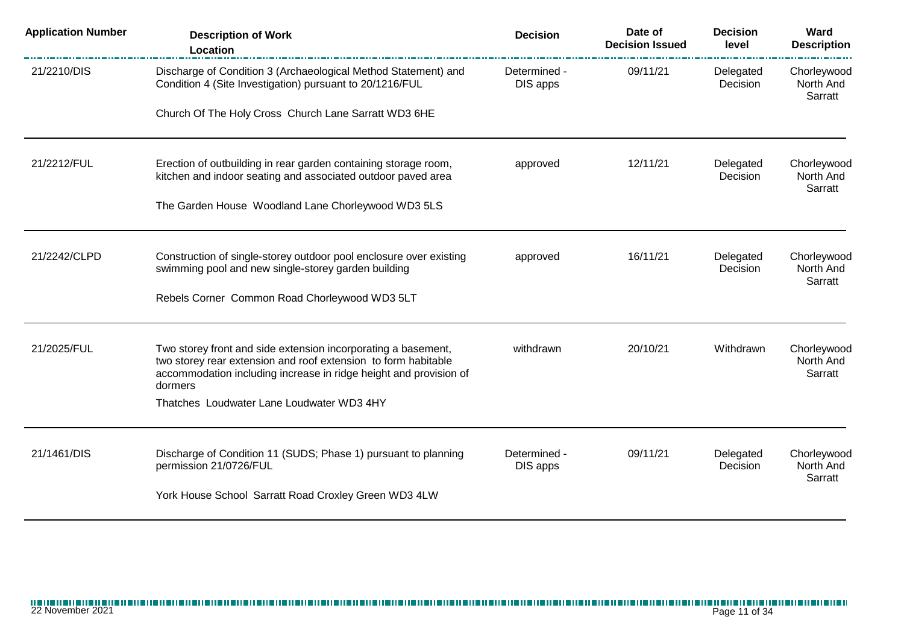| <b>Application Number</b> | <b>Description of Work</b><br>Location                                                                                                                                                                          | <b>Decision</b>          | Date of<br><b>Decision Issued</b> | <b>Decision</b><br>level | Ward<br><b>Description</b>          |
|---------------------------|-----------------------------------------------------------------------------------------------------------------------------------------------------------------------------------------------------------------|--------------------------|-----------------------------------|--------------------------|-------------------------------------|
| 21/2210/DIS               | Discharge of Condition 3 (Archaeological Method Statement) and<br>Condition 4 (Site Investigation) pursuant to 20/1216/FUL                                                                                      | Determined -<br>DIS apps | 09/11/21                          | Delegated<br>Decision    | Chorleywood<br>North And<br>Sarratt |
|                           | Church Of The Holy Cross Church Lane Sarratt WD3 6HE                                                                                                                                                            |                          |                                   |                          |                                     |
| 21/2212/FUL               | Erection of outbuilding in rear garden containing storage room,<br>kitchen and indoor seating and associated outdoor paved area                                                                                 | approved                 | 12/11/21                          | Delegated<br>Decision    | Chorleywood<br>North And            |
|                           | The Garden House Woodland Lane Chorleywood WD3 5LS                                                                                                                                                              |                          |                                   |                          | Sarratt                             |
| 21/2242/CLPD              | Construction of single-storey outdoor pool enclosure over existing<br>swimming pool and new single-storey garden building                                                                                       | approved                 | 16/11/21                          | Delegated<br>Decision    | Chorleywood<br>North And<br>Sarratt |
|                           | Rebels Corner Common Road Chorleywood WD3 5LT                                                                                                                                                                   |                          |                                   |                          |                                     |
| 21/2025/FUL               | Two storey front and side extension incorporating a basement,<br>two storey rear extension and roof extension to form habitable<br>accommodation including increase in ridge height and provision of<br>dormers | withdrawn                | 20/10/21                          | Withdrawn                | Chorleywood<br>North And<br>Sarratt |
|                           | Thatches Loudwater Lane Loudwater WD3 4HY                                                                                                                                                                       |                          |                                   |                          |                                     |
| 21/1461/DIS               | Discharge of Condition 11 (SUDS; Phase 1) pursuant to planning<br>permission 21/0726/FUL                                                                                                                        | Determined -<br>DIS apps | 09/11/21                          | Delegated<br>Decision    | Chorleywood<br>North And<br>Sarratt |
|                           | York House School Sarratt Road Croxley Green WD3 4LW                                                                                                                                                            |                          |                                   |                          |                                     |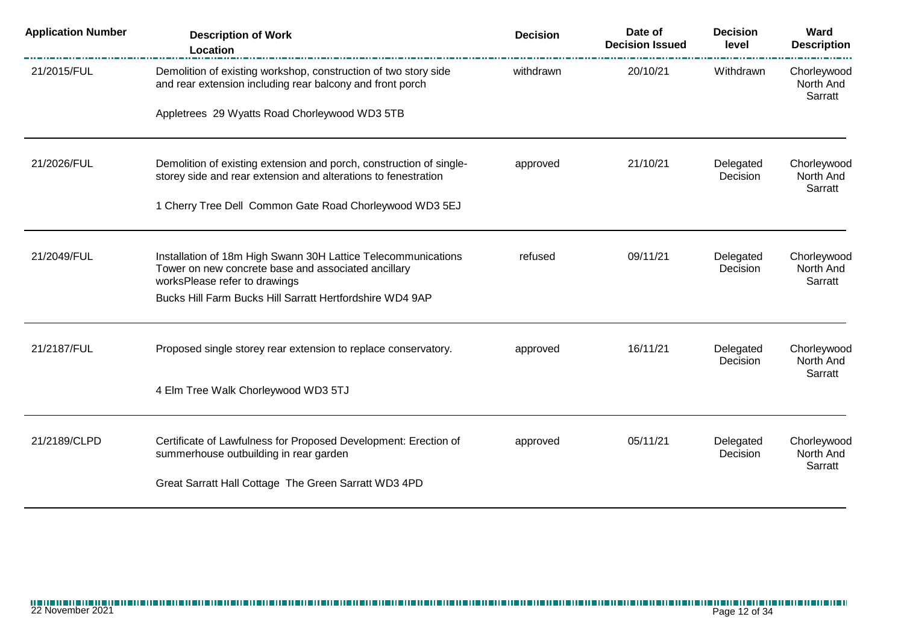| <b>Application Number</b> | <b>Description of Work</b><br>Location                                                                                                | <b>Decision</b> | Date of<br><b>Decision Issued</b> | <b>Decision</b><br>level | Ward<br><b>Description</b>          |
|---------------------------|---------------------------------------------------------------------------------------------------------------------------------------|-----------------|-----------------------------------|--------------------------|-------------------------------------|
| 21/2015/FUL               | Demolition of existing workshop, construction of two story side<br>and rear extension including rear balcony and front porch          | withdrawn       | 20/10/21                          | Withdrawn                | Chorleywood<br>North And<br>Sarratt |
|                           | Appletrees 29 Wyatts Road Chorleywood WD3 5TB                                                                                         |                 |                                   |                          |                                     |
| 21/2026/FUL               | Demolition of existing extension and porch, construction of single-<br>storey side and rear extension and alterations to fenestration | approved        | 21/10/21                          | Delegated<br>Decision    | Chorleywood<br>North And<br>Sarratt |
|                           | 1 Cherry Tree Dell Common Gate Road Chorleywood WD3 5EJ                                                                               |                 |                                   |                          |                                     |
| 21/2049/FUL               | Installation of 18m High Swann 30H Lattice Telecommunications<br>Tower on new concrete base and associated ancillary                  | refused         | 09/11/21                          | Delegated<br>Decision    | Chorleywood<br>North And            |
|                           | worksPlease refer to drawings<br>Bucks Hill Farm Bucks Hill Sarratt Hertfordshire WD4 9AP                                             |                 |                                   |                          | Sarratt                             |
| 21/2187/FUL               | Proposed single storey rear extension to replace conservatory.                                                                        | approved        | 16/11/21                          | Delegated<br>Decision    | Chorleywood<br>North And            |
|                           | 4 Elm Tree Walk Chorleywood WD3 5TJ                                                                                                   |                 |                                   |                          | Sarratt                             |
| 21/2189/CLPD              | Certificate of Lawfulness for Proposed Development: Erection of<br>summerhouse outbuilding in rear garden                             | approved        | 05/11/21                          | Delegated<br>Decision    | Chorleywood<br>North And            |
|                           | Great Sarratt Hall Cottage The Green Sarratt WD3 4PD                                                                                  |                 |                                   |                          | Sarratt                             |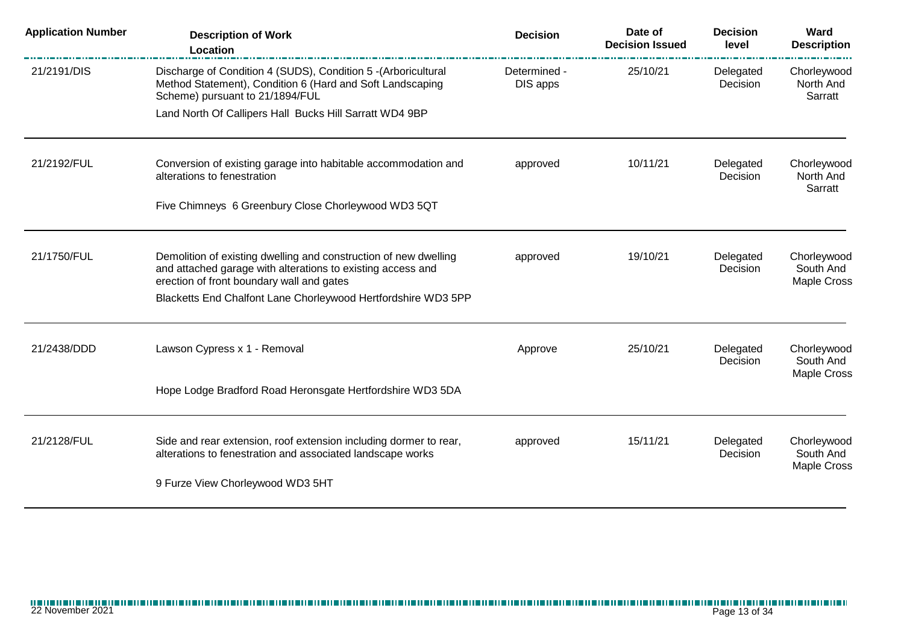| <b>Application Number</b> | <b>Description of Work</b><br>Location                                                                                                                                       | <b>Decision</b>          | Date of<br><b>Decision Issued</b> | <b>Decision</b><br>level | Ward<br><b>Description</b>                     |
|---------------------------|------------------------------------------------------------------------------------------------------------------------------------------------------------------------------|--------------------------|-----------------------------------|--------------------------|------------------------------------------------|
| 21/2191/DIS               | Discharge of Condition 4 (SUDS), Condition 5 - (Arboricultural<br>Method Statement), Condition 6 (Hard and Soft Landscaping<br>Scheme) pursuant to 21/1894/FUL               | Determined -<br>DIS apps | 25/10/21                          | Delegated<br>Decision    | Chorleywood<br>North And<br>Sarratt            |
|                           | Land North Of Callipers Hall Bucks Hill Sarratt WD4 9BP                                                                                                                      |                          |                                   |                          |                                                |
| 21/2192/FUL               | Conversion of existing garage into habitable accommodation and<br>alterations to fenestration                                                                                | approved                 | 10/11/21                          | Delegated<br>Decision    | Chorleywood<br>North And<br>Sarratt            |
|                           | Five Chimneys 6 Greenbury Close Chorleywood WD3 5QT                                                                                                                          |                          |                                   |                          |                                                |
| 21/1750/FUL               | Demolition of existing dwelling and construction of new dwelling<br>and attached garage with alterations to existing access and<br>erection of front boundary wall and gates | approved                 | 19/10/21                          | Delegated<br>Decision    | Chorleywood<br>South And<br>Maple Cross        |
|                           | Blacketts End Chalfont Lane Chorleywood Hertfordshire WD3 5PP                                                                                                                |                          |                                   |                          |                                                |
| 21/2438/DDD               | Lawson Cypress x 1 - Removal                                                                                                                                                 | Approve                  | 25/10/21                          | Delegated<br>Decision    | Chorleywood<br>South And<br>Maple Cross        |
|                           | Hope Lodge Bradford Road Heronsgate Hertfordshire WD3 5DA                                                                                                                    |                          |                                   |                          |                                                |
| 21/2128/FUL               | Side and rear extension, roof extension including dormer to rear,<br>alterations to fenestration and associated landscape works                                              | approved                 | 15/11/21                          | Delegated<br>Decision    | Chorleywood<br>South And<br><b>Maple Cross</b> |
|                           | 9 Furze View Chorleywood WD3 5HT                                                                                                                                             |                          |                                   |                          |                                                |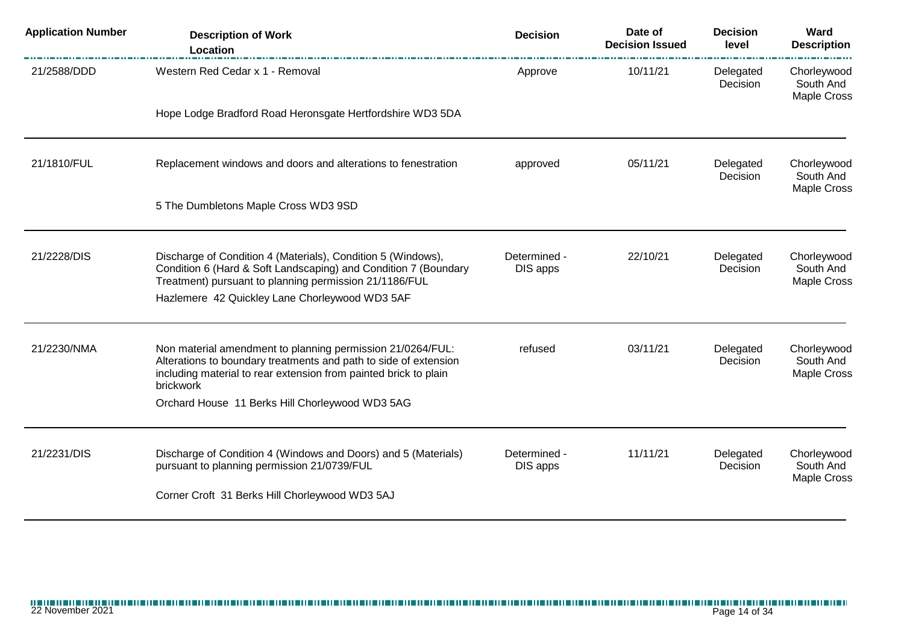| <b>Application Number</b> | <b>Description of Work</b><br>Location                                                                                                                                                                          | <b>Decision</b>          | Date of<br><b>Decision Issued</b> | <b>Decision</b><br>level | Ward<br><b>Description</b>                     |
|---------------------------|-----------------------------------------------------------------------------------------------------------------------------------------------------------------------------------------------------------------|--------------------------|-----------------------------------|--------------------------|------------------------------------------------|
| 21/2588/DDD               | Western Red Cedar x 1 - Removal                                                                                                                                                                                 | Approve                  | 10/11/21                          | Delegated<br>Decision    | Chorleywood<br>South And<br><b>Maple Cross</b> |
|                           | Hope Lodge Bradford Road Heronsgate Hertfordshire WD3 5DA                                                                                                                                                       |                          |                                   |                          |                                                |
| 21/1810/FUL               | Replacement windows and doors and alterations to fenestration                                                                                                                                                   | approved                 | 05/11/21                          | Delegated<br>Decision    | Chorleywood<br>South And<br>Maple Cross        |
|                           | 5 The Dumbletons Maple Cross WD3 9SD                                                                                                                                                                            |                          |                                   |                          |                                                |
| 21/2228/DIS               | Discharge of Condition 4 (Materials), Condition 5 (Windows),<br>Condition 6 (Hard & Soft Landscaping) and Condition 7 (Boundary<br>Treatment) pursuant to planning permission 21/1186/FUL                       | Determined -<br>DIS apps | 22/10/21                          | Delegated<br>Decision    | Chorleywood<br>South And<br>Maple Cross        |
|                           | Hazlemere 42 Quickley Lane Chorleywood WD3 5AF                                                                                                                                                                  |                          |                                   |                          |                                                |
| 21/2230/NMA               | Non material amendment to planning permission 21/0264/FUL:<br>Alterations to boundary treatments and path to side of extension<br>including material to rear extension from painted brick to plain<br>brickwork | refused                  | 03/11/21                          | Delegated<br>Decision    | Chorleywood<br>South And<br>Maple Cross        |
|                           | Orchard House 11 Berks Hill Chorleywood WD3 5AG                                                                                                                                                                 |                          |                                   |                          |                                                |
| 21/2231/DIS               | Discharge of Condition 4 (Windows and Doors) and 5 (Materials)<br>pursuant to planning permission 21/0739/FUL                                                                                                   | Determined -<br>DIS apps | 11/11/21                          | Delegated<br>Decision    | Chorleywood<br>South And<br>Maple Cross        |
|                           | Corner Croft 31 Berks Hill Chorleywood WD3 5AJ                                                                                                                                                                  |                          |                                   |                          |                                                |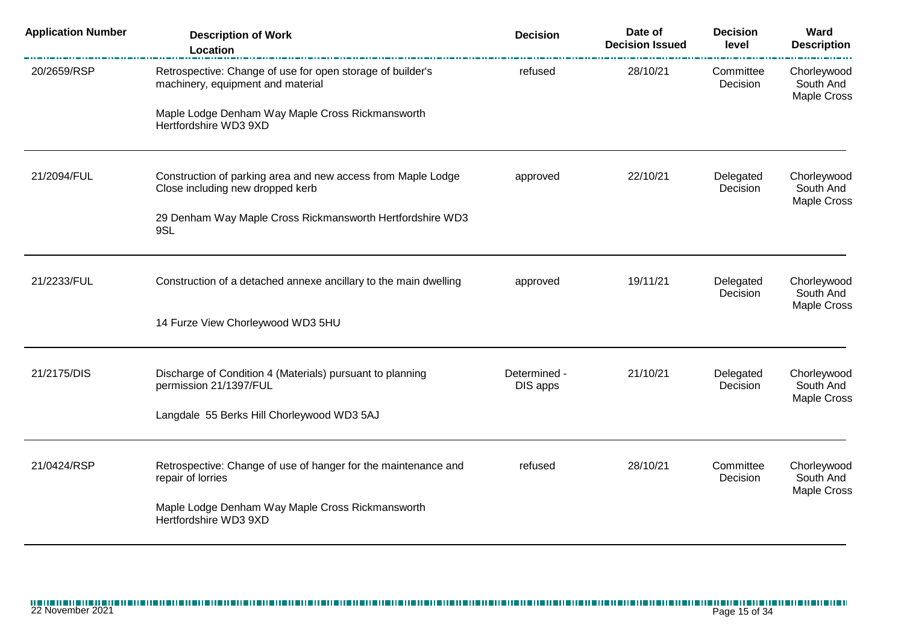| <b>Application Number</b> | <b>Description of Work</b><br>Location                                                           | <b>Decision</b>          | Date of<br><b>Decision Issued</b> | <b>Decision</b><br>level | Ward<br><b>Description</b>              |
|---------------------------|--------------------------------------------------------------------------------------------------|--------------------------|-----------------------------------|--------------------------|-----------------------------------------|
| 20/2659/RSP               | Retrospective: Change of use for open storage of builder's<br>machinery, equipment and material  | refused                  | 28/10/21                          | Committee<br>Decision    | Chorleywood<br>South And<br>Maple Cross |
|                           | Maple Lodge Denham Way Maple Cross Rickmansworth<br>Hertfordshire WD3 9XD                        |                          |                                   |                          |                                         |
| 21/2094/FUL               | Construction of parking area and new access from Maple Lodge<br>Close including new dropped kerb | approved                 | 22/10/21                          | Delegated<br>Decision    | Chorleywood<br>South And<br>Maple Cross |
|                           | 29 Denham Way Maple Cross Rickmansworth Hertfordshire WD3<br>9SL                                 |                          |                                   |                          |                                         |
| 21/2233/FUL               | Construction of a detached annexe ancillary to the main dwelling                                 | approved                 | 19/11/21                          | Delegated<br>Decision    | Chorleywood<br>South And<br>Maple Cross |
|                           | 14 Furze View Chorleywood WD3 5HU                                                                |                          |                                   |                          |                                         |
| 21/2175/DIS               | Discharge of Condition 4 (Materials) pursuant to planning<br>permission 21/1397/FUL              | Determined -<br>DIS apps | 21/10/21                          | Delegated<br>Decision    | Chorleywood<br>South And<br>Maple Cross |
|                           | Langdale 55 Berks Hill Chorleywood WD3 5AJ                                                       |                          |                                   |                          |                                         |
| 21/0424/RSP               | Retrospective: Change of use of hanger for the maintenance and<br>repair of lorries              | refused                  | 28/10/21                          | Committee<br>Decision    | Chorleywood<br>South And<br>Maple Cross |
|                           | Maple Lodge Denham Way Maple Cross Rickmansworth<br>Hertfordshire WD3 9XD                        |                          |                                   |                          |                                         |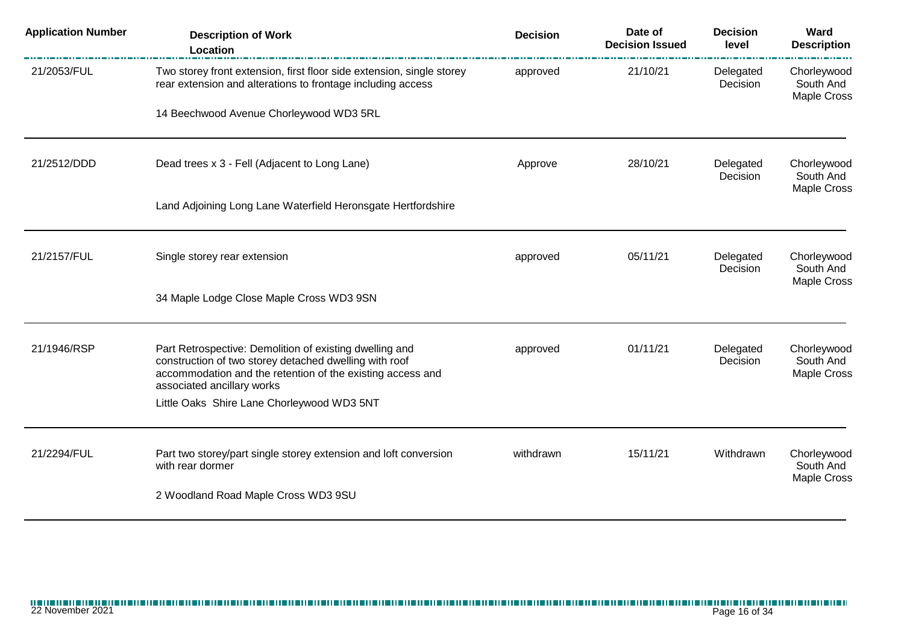| <b>Application Number</b> | <b>Description of Work</b><br>Location                                                                                                                                                                        | <b>Decision</b> | Date of<br><b>Decision Issued</b> | <b>Decision</b><br>level | Ward<br><b>Description</b>                     |
|---------------------------|---------------------------------------------------------------------------------------------------------------------------------------------------------------------------------------------------------------|-----------------|-----------------------------------|--------------------------|------------------------------------------------|
| 21/2053/FUL               | Two storey front extension, first floor side extension, single storey<br>rear extension and alterations to frontage including access                                                                          | approved        | 21/10/21                          | Delegated<br>Decision    | Chorleywood<br>South And<br><b>Maple Cross</b> |
|                           | 14 Beechwood Avenue Chorleywood WD3 5RL                                                                                                                                                                       |                 |                                   |                          |                                                |
| 21/2512/DDD               | Dead trees x 3 - Fell (Adjacent to Long Lane)                                                                                                                                                                 | Approve         | 28/10/21                          | Delegated<br>Decision    | Chorleywood<br>South And<br><b>Maple Cross</b> |
|                           | Land Adjoining Long Lane Waterfield Heronsgate Hertfordshire                                                                                                                                                  |                 |                                   |                          |                                                |
| 21/2157/FUL               | Single storey rear extension                                                                                                                                                                                  | approved        | 05/11/21                          | Delegated<br>Decision    | Chorleywood<br>South And                       |
|                           | 34 Maple Lodge Close Maple Cross WD3 9SN                                                                                                                                                                      |                 |                                   |                          | <b>Maple Cross</b>                             |
| 21/1946/RSP               | Part Retrospective: Demolition of existing dwelling and<br>construction of two storey detached dwelling with roof<br>accommodation and the retention of the existing access and<br>associated ancillary works | approved        | 01/11/21                          | Delegated<br>Decision    | Chorleywood<br>South And<br><b>Maple Cross</b> |
|                           | Little Oaks Shire Lane Chorleywood WD3 5NT                                                                                                                                                                    |                 |                                   |                          |                                                |
| 21/2294/FUL               | Part two storey/part single storey extension and loft conversion<br>with rear dormer                                                                                                                          | withdrawn       | 15/11/21                          | Withdrawn                | Chorleywood<br>South And<br><b>Maple Cross</b> |
|                           | 2 Woodland Road Maple Cross WD3 9SU                                                                                                                                                                           |                 |                                   |                          |                                                |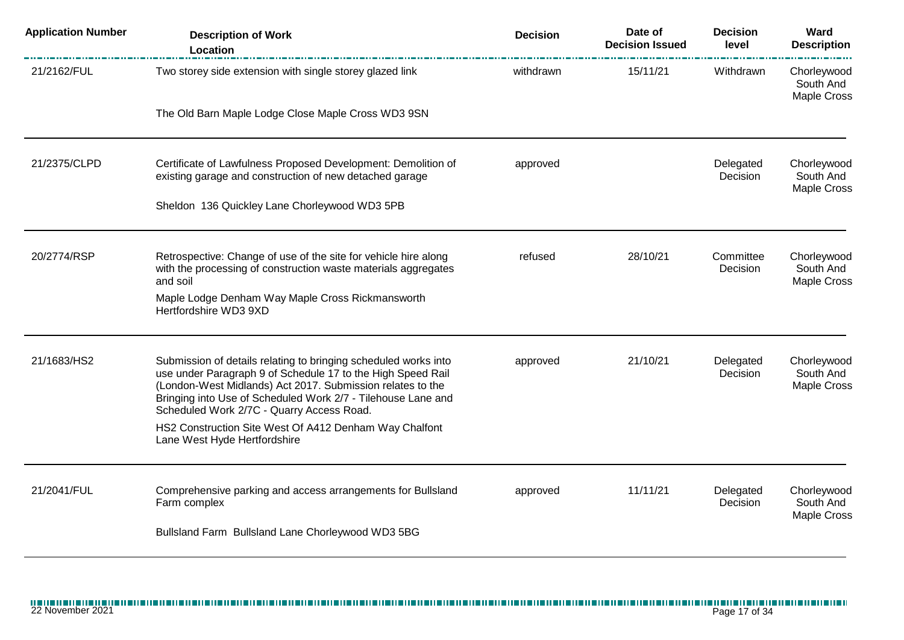| <b>Application Number</b> | <b>Description of Work</b><br>Location                                                                                                                                                                                                                                                                    | <b>Decision</b> | Date of<br><b>Decision Issued</b> | <b>Decision</b><br>level | Ward<br><b>Description</b>              |
|---------------------------|-----------------------------------------------------------------------------------------------------------------------------------------------------------------------------------------------------------------------------------------------------------------------------------------------------------|-----------------|-----------------------------------|--------------------------|-----------------------------------------|
| 21/2162/FUL               | Two storey side extension with single storey glazed link                                                                                                                                                                                                                                                  | withdrawn       | 15/11/21                          | Withdrawn                | Chorleywood<br>South And<br>Maple Cross |
|                           | The Old Barn Maple Lodge Close Maple Cross WD3 9SN                                                                                                                                                                                                                                                        |                 |                                   |                          |                                         |
| 21/2375/CLPD              | Certificate of Lawfulness Proposed Development: Demolition of<br>existing garage and construction of new detached garage                                                                                                                                                                                  | approved        |                                   | Delegated<br>Decision    | Chorleywood<br>South And<br>Maple Cross |
|                           | Sheldon 136 Quickley Lane Chorleywood WD3 5PB                                                                                                                                                                                                                                                             |                 |                                   |                          |                                         |
| 20/2774/RSP               | Retrospective: Change of use of the site for vehicle hire along<br>with the processing of construction waste materials aggregates<br>and soil                                                                                                                                                             | refused         | 28/10/21                          | Committee<br>Decision    | Chorleywood<br>South And<br>Maple Cross |
|                           | Maple Lodge Denham Way Maple Cross Rickmansworth<br>Hertfordshire WD3 9XD                                                                                                                                                                                                                                 |                 |                                   |                          |                                         |
| 21/1683/HS2               | Submission of details relating to bringing scheduled works into<br>use under Paragraph 9 of Schedule 17 to the High Speed Rail<br>(London-West Midlands) Act 2017. Submission relates to the<br>Bringing into Use of Scheduled Work 2/7 - Tilehouse Lane and<br>Scheduled Work 2/7C - Quarry Access Road. | approved        | 21/10/21                          | Delegated<br>Decision    | Chorleywood<br>South And<br>Maple Cross |
|                           | HS2 Construction Site West Of A412 Denham Way Chalfont<br>Lane West Hyde Hertfordshire                                                                                                                                                                                                                    |                 |                                   |                          |                                         |
| 21/2041/FUL               | Comprehensive parking and access arrangements for Bullsland<br>Farm complex                                                                                                                                                                                                                               | approved        | 11/11/21                          | Delegated<br>Decision    | Chorleywood<br>South And<br>Maple Cross |
|                           | Bullsland Farm Bullsland Lane Chorleywood WD3 5BG                                                                                                                                                                                                                                                         |                 |                                   |                          |                                         |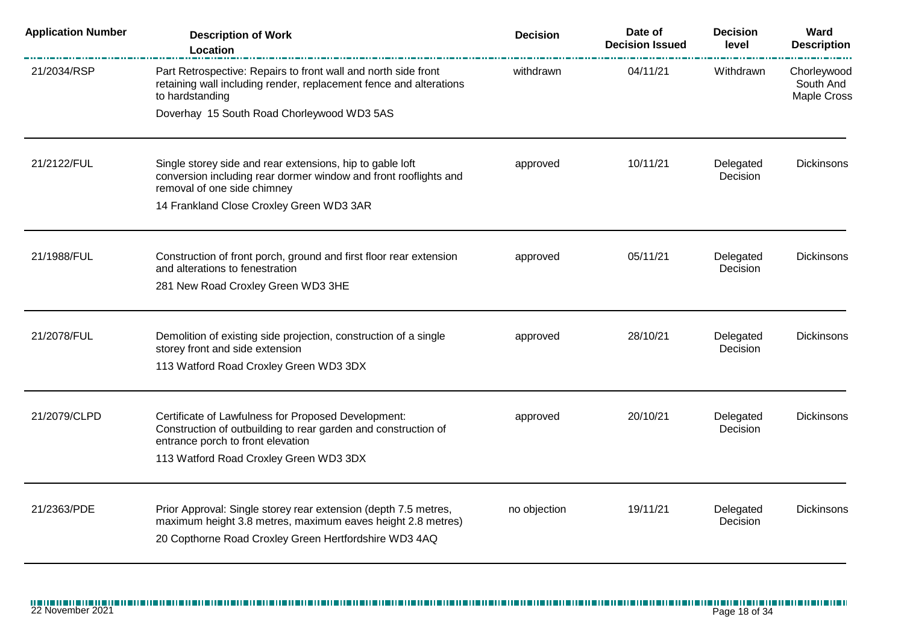| <b>Application Number</b> | <b>Description of Work</b><br>Location                                                                                                                                                  | <b>Decision</b> | Date of<br><b>Decision Issued</b> | <b>Decision</b><br>level | Ward<br><b>Description</b>                     |
|---------------------------|-----------------------------------------------------------------------------------------------------------------------------------------------------------------------------------------|-----------------|-----------------------------------|--------------------------|------------------------------------------------|
| 21/2034/RSP               | Part Retrospective: Repairs to front wall and north side front<br>retaining wall including render, replacement fence and alterations<br>to hardstanding                                 | withdrawn       | 04/11/21                          | Withdrawn                | Chorleywood<br>South And<br><b>Maple Cross</b> |
|                           | Doverhay 15 South Road Chorleywood WD3 5AS                                                                                                                                              |                 |                                   |                          |                                                |
| 21/2122/FUL               | Single storey side and rear extensions, hip to gable loft<br>conversion including rear dormer window and front rooflights and<br>removal of one side chimney                            | approved        | 10/11/21                          | Delegated<br>Decision    | <b>Dickinsons</b>                              |
|                           | 14 Frankland Close Croxley Green WD3 3AR                                                                                                                                                |                 |                                   |                          |                                                |
| 21/1988/FUL               | Construction of front porch, ground and first floor rear extension<br>and alterations to fenestration                                                                                   | approved        | 05/11/21                          | Delegated<br>Decision    | <b>Dickinsons</b>                              |
|                           | 281 New Road Croxley Green WD3 3HE                                                                                                                                                      |                 |                                   |                          |                                                |
| 21/2078/FUL               | Demolition of existing side projection, construction of a single<br>storey front and side extension                                                                                     | approved        | 28/10/21                          | Delegated<br>Decision    | <b>Dickinsons</b>                              |
|                           | 113 Watford Road Croxley Green WD3 3DX                                                                                                                                                  |                 |                                   |                          |                                                |
| 21/2079/CLPD              | Certificate of Lawfulness for Proposed Development:<br>Construction of outbuilding to rear garden and construction of<br>entrance porch to front elevation                              | approved        | 20/10/21                          | Delegated<br>Decision    | <b>Dickinsons</b>                              |
|                           | 113 Watford Road Croxley Green WD3 3DX                                                                                                                                                  |                 |                                   |                          |                                                |
| 21/2363/PDE               | Prior Approval: Single storey rear extension (depth 7.5 metres,<br>maximum height 3.8 metres, maximum eaves height 2.8 metres)<br>20 Copthorne Road Croxley Green Hertfordshire WD3 4AQ | no objection    | 19/11/21                          | Delegated<br>Decision    | <b>Dickinsons</b>                              |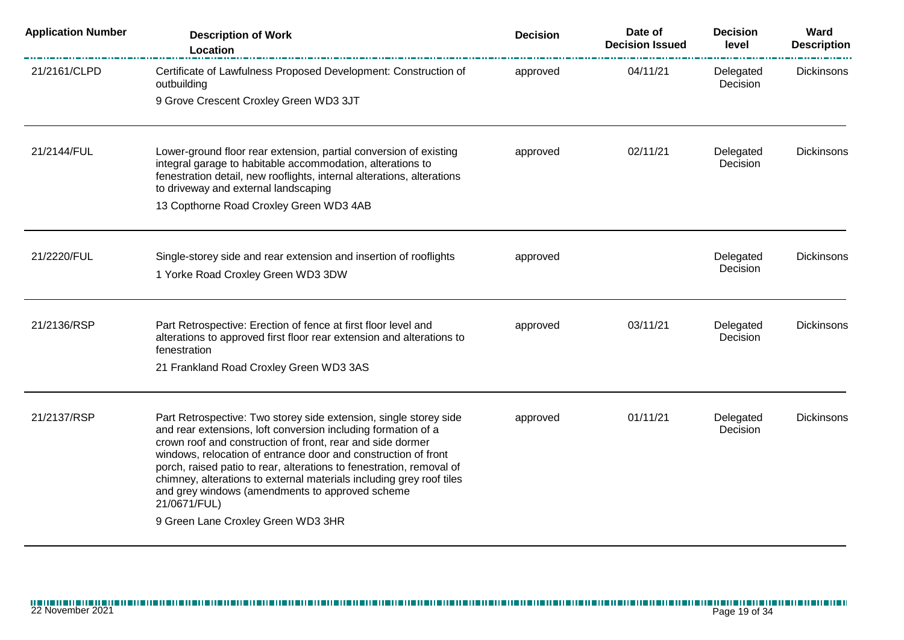| <b>Application Number</b> | <b>Description of Work</b><br>Location                                                                                                                                                                                                                                                                                                                                                                                                                                                                                      | <b>Decision</b> | Date of<br><b>Decision Issued</b> | <b>Decision</b><br>level | Ward<br><b>Description</b> |
|---------------------------|-----------------------------------------------------------------------------------------------------------------------------------------------------------------------------------------------------------------------------------------------------------------------------------------------------------------------------------------------------------------------------------------------------------------------------------------------------------------------------------------------------------------------------|-----------------|-----------------------------------|--------------------------|----------------------------|
| 21/2161/CLPD              | Certificate of Lawfulness Proposed Development: Construction of<br>outbuilding                                                                                                                                                                                                                                                                                                                                                                                                                                              | approved        | 04/11/21                          | Delegated<br>Decision    | <b>Dickinsons</b>          |
|                           | 9 Grove Crescent Croxley Green WD3 3JT                                                                                                                                                                                                                                                                                                                                                                                                                                                                                      |                 |                                   |                          |                            |
| 21/2144/FUL               | Lower-ground floor rear extension, partial conversion of existing<br>integral garage to habitable accommodation, alterations to<br>fenestration detail, new rooflights, internal alterations, alterations<br>to driveway and external landscaping<br>13 Copthorne Road Croxley Green WD3 4AB                                                                                                                                                                                                                                | approved        | 02/11/21                          | Delegated<br>Decision    | <b>Dickinsons</b>          |
|                           |                                                                                                                                                                                                                                                                                                                                                                                                                                                                                                                             |                 |                                   |                          |                            |
| 21/2220/FUL               | Single-storey side and rear extension and insertion of rooflights<br>1 Yorke Road Croxley Green WD3 3DW                                                                                                                                                                                                                                                                                                                                                                                                                     | approved        |                                   | Delegated<br>Decision    | <b>Dickinsons</b>          |
| 21/2136/RSP               | Part Retrospective: Erection of fence at first floor level and<br>alterations to approved first floor rear extension and alterations to<br>fenestration                                                                                                                                                                                                                                                                                                                                                                     | approved        | 03/11/21                          | Delegated<br>Decision    | <b>Dickinsons</b>          |
|                           | 21 Frankland Road Croxley Green WD3 3AS                                                                                                                                                                                                                                                                                                                                                                                                                                                                                     |                 |                                   |                          |                            |
| 21/2137/RSP               | Part Retrospective: Two storey side extension, single storey side<br>and rear extensions, loft conversion including formation of a<br>crown roof and construction of front, rear and side dormer<br>windows, relocation of entrance door and construction of front<br>porch, raised patio to rear, alterations to fenestration, removal of<br>chimney, alterations to external materials including grey roof tiles<br>and grey windows (amendments to approved scheme<br>21/0671/FUL)<br>9 Green Lane Croxley Green WD3 3HR | approved        | 01/11/21                          | Delegated<br>Decision    | Dickinsons                 |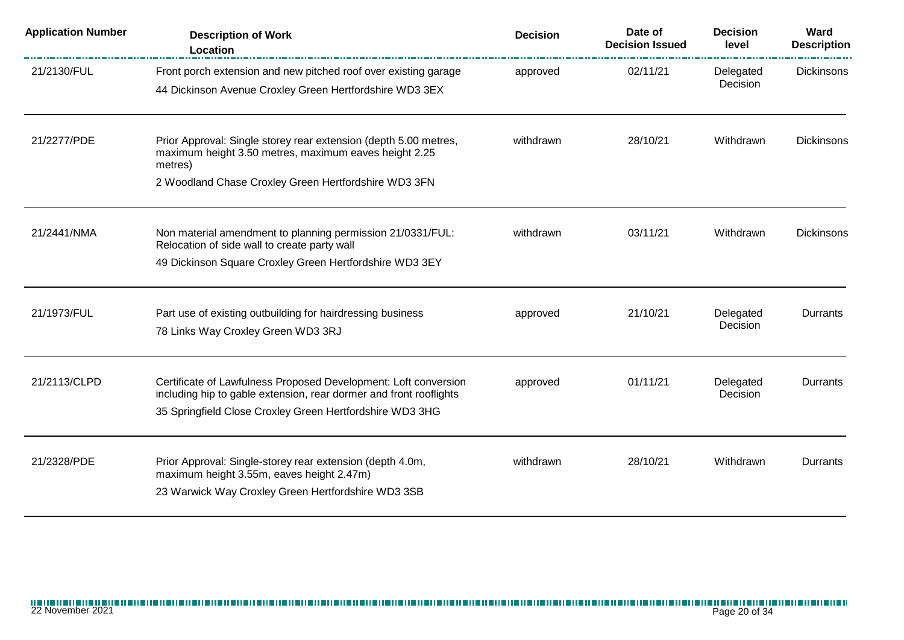| <b>Application Number</b> | <b>Description of Work</b><br>Location                                                                                                                                                            | <b>Decision</b> | Date of<br><b>Decision Issued</b> | <b>Decision</b><br>level | Ward<br><b>Description</b> |
|---------------------------|---------------------------------------------------------------------------------------------------------------------------------------------------------------------------------------------------|-----------------|-----------------------------------|--------------------------|----------------------------|
| 21/2130/FUL               | Front porch extension and new pitched roof over existing garage<br>44 Dickinson Avenue Croxley Green Hertfordshire WD3 3EX                                                                        | approved        | 02/11/21                          | Delegated<br>Decision    | <b>Dickinsons</b>          |
| 21/2277/PDE               | Prior Approval: Single storey rear extension (depth 5.00 metres,<br>maximum height 3.50 metres, maximum eaves height 2.25<br>metres)<br>2 Woodland Chase Croxley Green Hertfordshire WD3 3FN      | withdrawn       | 28/10/21                          | Withdrawn                | <b>Dickinsons</b>          |
| 21/2441/NMA               | Non material amendment to planning permission 21/0331/FUL:<br>Relocation of side wall to create party wall<br>49 Dickinson Square Croxley Green Hertfordshire WD3 3EY                             | withdrawn       | 03/11/21                          | Withdrawn                | Dickinsons                 |
| 21/1973/FUL               | Part use of existing outbuilding for hairdressing business<br>78 Links Way Croxley Green WD3 3RJ                                                                                                  | approved        | 21/10/21                          | Delegated<br>Decision    | Durrants                   |
| 21/2113/CLPD              | Certificate of Lawfulness Proposed Development: Loft conversion<br>including hip to gable extension, rear dormer and front rooflights<br>35 Springfield Close Croxley Green Hertfordshire WD3 3HG | approved        | 01/11/21                          | Delegated<br>Decision    | Durrants                   |
| 21/2328/PDE               | Prior Approval: Single-storey rear extension (depth 4.0m,<br>maximum height 3.55m, eaves height 2.47m)<br>23 Warwick Way Croxley Green Hertfordshire WD3 3SB                                      | withdrawn       | 28/10/21                          | Withdrawn                | <b>Durrants</b>            |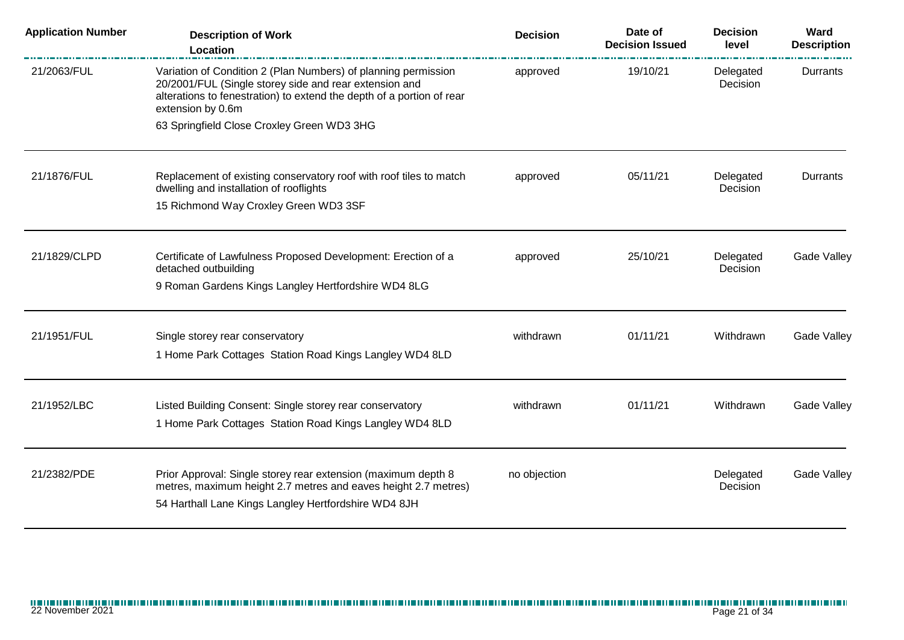| <b>Application Number</b> | <b>Description of Work</b><br>Location                                                                                                                                                                                 | <b>Decision</b> | Date of<br><b>Decision Issued</b> | <b>Decision</b><br>level | Ward<br><b>Description</b> |
|---------------------------|------------------------------------------------------------------------------------------------------------------------------------------------------------------------------------------------------------------------|-----------------|-----------------------------------|--------------------------|----------------------------|
| 21/2063/FUL               | Variation of Condition 2 (Plan Numbers) of planning permission<br>20/2001/FUL (Single storey side and rear extension and<br>alterations to fenestration) to extend the depth of a portion of rear<br>extension by 0.6m | approved        | 19/10/21                          | Delegated<br>Decision    | Durrants                   |
|                           | 63 Springfield Close Croxley Green WD3 3HG                                                                                                                                                                             |                 |                                   |                          |                            |
| 21/1876/FUL               | Replacement of existing conservatory roof with roof tiles to match<br>dwelling and installation of rooflights                                                                                                          | approved        | 05/11/21                          | Delegated<br>Decision    | Durrants                   |
|                           | 15 Richmond Way Croxley Green WD3 3SF                                                                                                                                                                                  |                 |                                   |                          |                            |
| 21/1829/CLPD              | Certificate of Lawfulness Proposed Development: Erection of a<br>detached outbuilding                                                                                                                                  | approved        | 25/10/21                          | Delegated<br>Decision    | Gade Valley                |
|                           | 9 Roman Gardens Kings Langley Hertfordshire WD4 8LG                                                                                                                                                                    |                 |                                   |                          |                            |
| 21/1951/FUL               | Single storey rear conservatory                                                                                                                                                                                        | withdrawn       | 01/11/21                          | Withdrawn                | <b>Gade Valley</b>         |
|                           | 1 Home Park Cottages Station Road Kings Langley WD4 8LD                                                                                                                                                                |                 |                                   |                          |                            |
| 21/1952/LBC               | Listed Building Consent: Single storey rear conservatory                                                                                                                                                               | withdrawn       | 01/11/21                          | Withdrawn                | <b>Gade Valley</b>         |
|                           | 1 Home Park Cottages Station Road Kings Langley WD4 8LD                                                                                                                                                                |                 |                                   |                          |                            |
| 21/2382/PDE               | Prior Approval: Single storey rear extension (maximum depth 8                                                                                                                                                          | no objection    |                                   | Delegated                | <b>Gade Valley</b>         |
|                           | metres, maximum height 2.7 metres and eaves height 2.7 metres)<br>54 Harthall Lane Kings Langley Hertfordshire WD4 8JH                                                                                                 |                 |                                   | Decision                 |                            |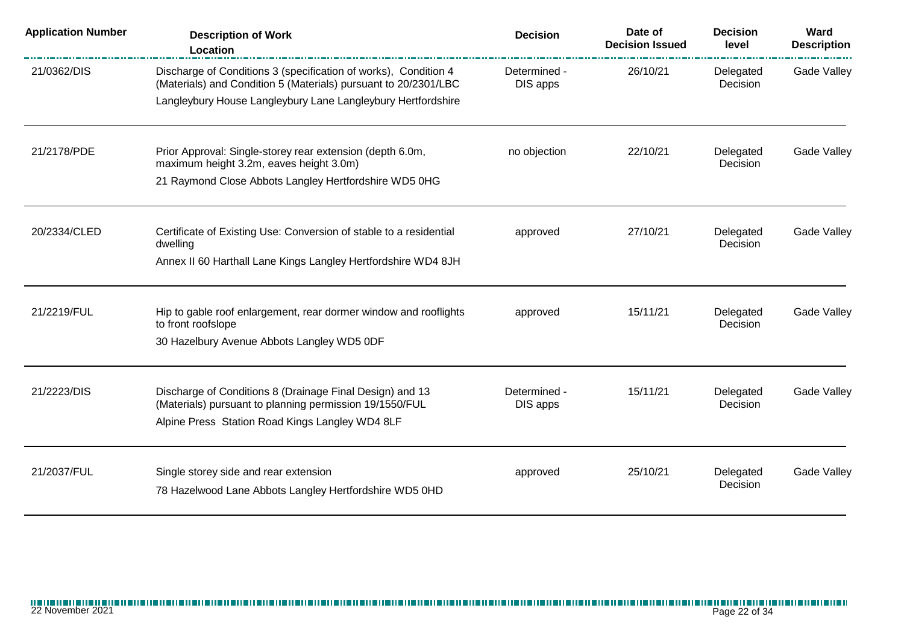| <b>Application Number</b> | <b>Description of Work</b><br>Location                                                                                             | <b>Decision</b>          | Date of<br><b>Decision Issued</b> | <b>Decision</b><br>level | Ward<br><b>Description</b> |
|---------------------------|------------------------------------------------------------------------------------------------------------------------------------|--------------------------|-----------------------------------|--------------------------|----------------------------|
| 21/0362/DIS               | Discharge of Conditions 3 (specification of works), Condition 4<br>(Materials) and Condition 5 (Materials) pursuant to 20/2301/LBC | Determined -<br>DIS apps | 26/10/21                          | Delegated<br>Decision    | Gade Valley                |
|                           | Langleybury House Langleybury Lane Langleybury Hertfordshire                                                                       |                          |                                   |                          |                            |
| 21/2178/PDE               | Prior Approval: Single-storey rear extension (depth 6.0m,<br>maximum height 3.2m, eaves height 3.0m)                               | no objection             | 22/10/21                          | Delegated<br>Decision    | Gade Valley                |
|                           | 21 Raymond Close Abbots Langley Hertfordshire WD5 0HG                                                                              |                          |                                   |                          |                            |
| 20/2334/CLED              | Certificate of Existing Use: Conversion of stable to a residential<br>dwelling                                                     | approved                 | 27/10/21                          | Delegated<br>Decision    | Gade Valley                |
|                           | Annex II 60 Harthall Lane Kings Langley Hertfordshire WD4 8JH                                                                      |                          |                                   |                          |                            |
| 21/2219/FUL               | Hip to gable roof enlargement, rear dormer window and rooflights                                                                   | approved                 | 15/11/21                          | Delegated                | Gade Valley                |
|                           | to front roofslope<br>30 Hazelbury Avenue Abbots Langley WD5 0DF                                                                   |                          |                                   | Decision                 |                            |
| 21/2223/DIS               | Discharge of Conditions 8 (Drainage Final Design) and 13                                                                           | Determined -             | 15/11/21                          | Delegated                | Gade Valley                |
|                           | (Materials) pursuant to planning permission 19/1550/FUL<br>Alpine Press Station Road Kings Langley WD4 8LF                         | DIS apps                 |                                   | Decision                 |                            |
| 21/2037/FUL               | Single storey side and rear extension                                                                                              | approved                 | 25/10/21                          | Delegated<br>Decision    | Gade Valley                |
|                           | 78 Hazelwood Lane Abbots Langley Hertfordshire WD5 0HD                                                                             |                          |                                   |                          |                            |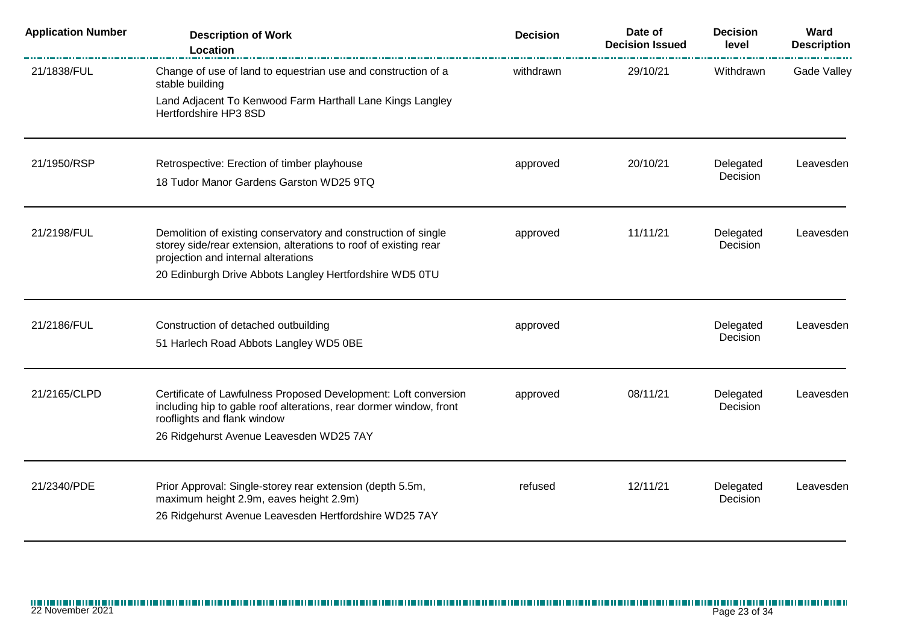| <b>Application Number</b> | <b>Description of Work</b><br>Location                                                                                                                                    | <b>Decision</b> | Date of<br><b>Decision Issued</b> | <b>Decision</b><br>level | Ward<br><b>Description</b> |
|---------------------------|---------------------------------------------------------------------------------------------------------------------------------------------------------------------------|-----------------|-----------------------------------|--------------------------|----------------------------|
| 21/1838/FUL               | Change of use of land to equestrian use and construction of a<br>stable building                                                                                          | withdrawn       | 29/10/21                          | Withdrawn                | <b>Gade Valley</b>         |
|                           | Land Adjacent To Kenwood Farm Harthall Lane Kings Langley<br>Hertfordshire HP3 8SD                                                                                        |                 |                                   |                          |                            |
| 21/1950/RSP               | Retrospective: Erection of timber playhouse                                                                                                                               | approved        | 20/10/21                          | Delegated<br>Decision    | Leavesden                  |
|                           | 18 Tudor Manor Gardens Garston WD25 9TQ                                                                                                                                   |                 |                                   |                          |                            |
| 21/2198/FUL               | Demolition of existing conservatory and construction of single<br>storey side/rear extension, alterations to roof of existing rear<br>projection and internal alterations | approved        | 11/11/21                          | Delegated<br>Decision    | Leavesden                  |
|                           | 20 Edinburgh Drive Abbots Langley Hertfordshire WD5 0TU                                                                                                                   |                 |                                   |                          |                            |
| 21/2186/FUL               | Construction of detached outbuilding                                                                                                                                      | approved        |                                   | Delegated                | Leavesden                  |
|                           | 51 Harlech Road Abbots Langley WD5 0BE                                                                                                                                    |                 |                                   | Decision                 |                            |
| 21/2165/CLPD              | Certificate of Lawfulness Proposed Development: Loft conversion<br>including hip to gable roof alterations, rear dormer window, front<br>rooflights and flank window      | approved        | 08/11/21                          | Delegated<br>Decision    | Leavesden                  |
|                           | 26 Ridgehurst Avenue Leavesden WD25 7AY                                                                                                                                   |                 |                                   |                          |                            |
| 21/2340/PDE               | Prior Approval: Single-storey rear extension (depth 5.5m,<br>maximum height 2.9m, eaves height 2.9m)                                                                      | refused         | 12/11/21                          | Delegated<br>Decision    | Leavesden                  |
|                           | 26 Ridgehurst Avenue Leavesden Hertfordshire WD25 7AY                                                                                                                     |                 |                                   |                          |                            |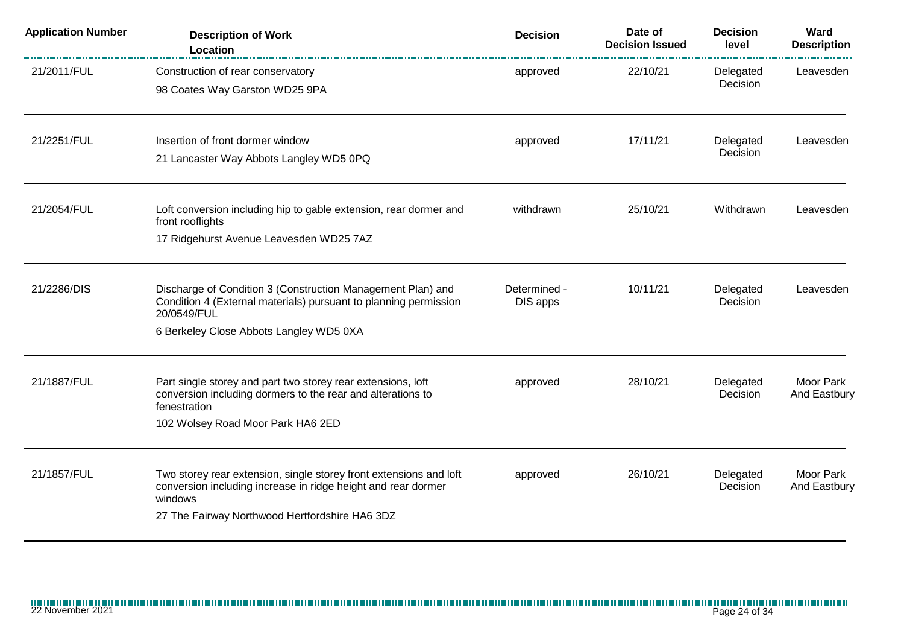| <b>Application Number</b> | <b>Description of Work</b><br>Location                                                                                                                                                           | <b>Decision</b>          | Date of<br><b>Decision Issued</b> | <b>Decision</b><br>level | Ward<br><b>Description</b> |
|---------------------------|--------------------------------------------------------------------------------------------------------------------------------------------------------------------------------------------------|--------------------------|-----------------------------------|--------------------------|----------------------------|
| 21/2011/FUL               | Construction of rear conservatory<br>98 Coates Way Garston WD25 9PA                                                                                                                              | approved                 | 22/10/21                          | Delegated<br>Decision    | Leavesden                  |
| 21/2251/FUL               | Insertion of front dormer window<br>21 Lancaster Way Abbots Langley WD5 0PQ                                                                                                                      | approved                 | 17/11/21                          | Delegated<br>Decision    | Leavesden                  |
| 21/2054/FUL               | Loft conversion including hip to gable extension, rear dormer and<br>front rooflights<br>17 Ridgehurst Avenue Leavesden WD25 7AZ                                                                 | withdrawn                | 25/10/21                          | Withdrawn                | Leavesden                  |
| 21/2286/DIS               | Discharge of Condition 3 (Construction Management Plan) and<br>Condition 4 (External materials) pursuant to planning permission<br>20/0549/FUL<br>6 Berkeley Close Abbots Langley WD5 0XA        | Determined -<br>DIS apps | 10/11/21                          | Delegated<br>Decision    | Leavesden                  |
| 21/1887/FUL               | Part single storey and part two storey rear extensions, loft<br>conversion including dormers to the rear and alterations to<br>fenestration<br>102 Wolsey Road Moor Park HA6 2ED                 | approved                 | 28/10/21                          | Delegated<br>Decision    | Moor Park<br>And Eastbury  |
| 21/1857/FUL               | Two storey rear extension, single storey front extensions and loft<br>conversion including increase in ridge height and rear dormer<br>windows<br>27 The Fairway Northwood Hertfordshire HA6 3DZ | approved                 | 26/10/21                          | Delegated<br>Decision    | Moor Park<br>And Eastbury  |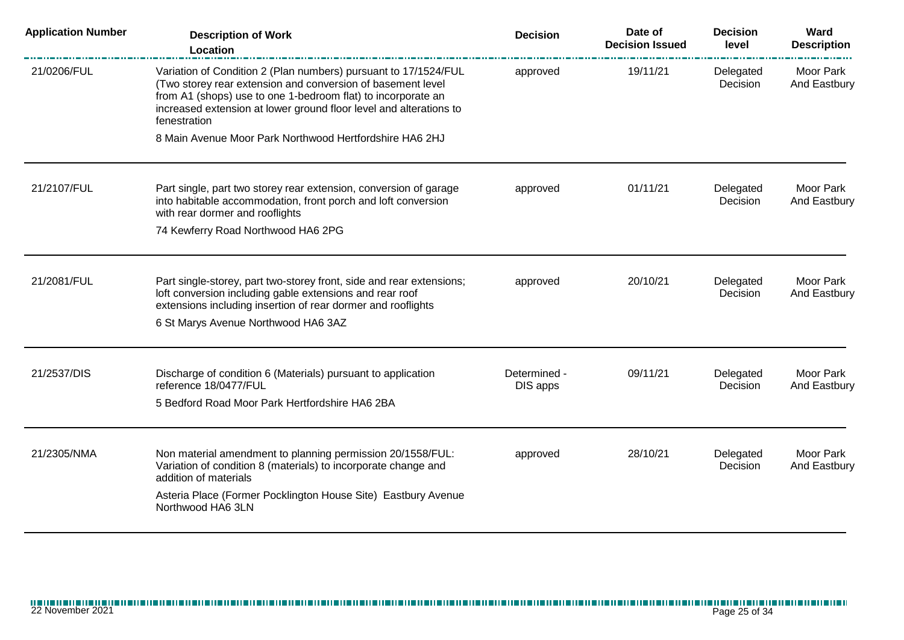| <b>Application Number</b> | <b>Description of Work</b><br>Location                                                                                                                                                                                                                                               | <b>Decision</b>          | Date of<br><b>Decision Issued</b> | <b>Decision</b><br>level | Ward<br><b>Description</b>       |
|---------------------------|--------------------------------------------------------------------------------------------------------------------------------------------------------------------------------------------------------------------------------------------------------------------------------------|--------------------------|-----------------------------------|--------------------------|----------------------------------|
| 21/0206/FUL               | Variation of Condition 2 (Plan numbers) pursuant to 17/1524/FUL<br>(Two storey rear extension and conversion of basement level<br>from A1 (shops) use to one 1-bedroom flat) to incorporate an<br>increased extension at lower ground floor level and alterations to<br>fenestration | approved                 | 19/11/21                          | Delegated<br>Decision    | <b>Moor Park</b><br>And Eastbury |
|                           | 8 Main Avenue Moor Park Northwood Hertfordshire HA6 2HJ                                                                                                                                                                                                                              |                          |                                   |                          |                                  |
| 21/2107/FUL               | Part single, part two storey rear extension, conversion of garage<br>into habitable accommodation, front porch and loft conversion<br>with rear dormer and rooflights                                                                                                                | approved                 | 01/11/21                          | Delegated<br>Decision    | Moor Park<br>And Eastbury        |
|                           | 74 Kewferry Road Northwood HA6 2PG                                                                                                                                                                                                                                                   |                          |                                   |                          |                                  |
| 21/2081/FUL               | Part single-storey, part two-storey front, side and rear extensions;<br>loft conversion including gable extensions and rear roof<br>extensions including insertion of rear dormer and rooflights                                                                                     | approved                 | 20/10/21                          | Delegated<br>Decision    | Moor Park<br>And Eastbury        |
|                           | 6 St Marys Avenue Northwood HA6 3AZ                                                                                                                                                                                                                                                  |                          |                                   |                          |                                  |
| 21/2537/DIS               | Discharge of condition 6 (Materials) pursuant to application<br>reference 18/0477/FUL<br>5 Bedford Road Moor Park Hertfordshire HA6 2BA                                                                                                                                              | Determined -<br>DIS apps | 09/11/21                          | Delegated<br>Decision    | Moor Park<br>And Eastbury        |
| 21/2305/NMA               | Non material amendment to planning permission 20/1558/FUL:<br>Variation of condition 8 (materials) to incorporate change and<br>addition of materials<br>Asteria Place (Former Pocklington House Site) Eastbury Avenue                                                               | approved                 | 28/10/21                          | Delegated<br>Decision    | Moor Park<br>And Eastbury        |
|                           | Northwood HA6 3LN                                                                                                                                                                                                                                                                    |                          |                                   |                          |                                  |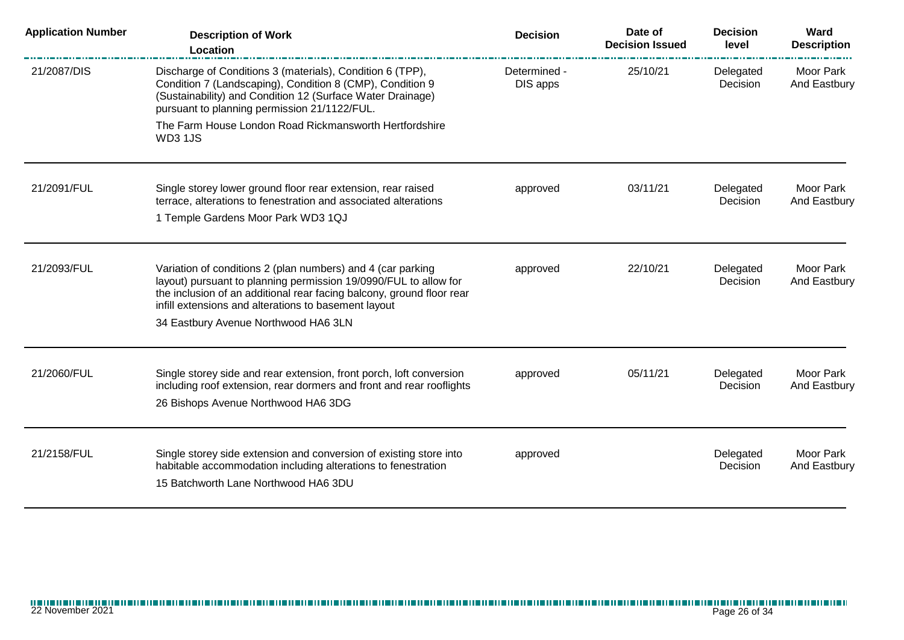| <b>Application Number</b> | <b>Description of Work</b><br>Location                                                                                                                                                                                               | <b>Decision</b>          | Date of<br><b>Decision Issued</b> | <b>Decision</b><br>level | Ward<br><b>Description</b>       |
|---------------------------|--------------------------------------------------------------------------------------------------------------------------------------------------------------------------------------------------------------------------------------|--------------------------|-----------------------------------|--------------------------|----------------------------------|
| 21/2087/DIS               | Discharge of Conditions 3 (materials), Condition 6 (TPP),<br>Condition 7 (Landscaping), Condition 8 (CMP), Condition 9<br>(Sustainability) and Condition 12 (Surface Water Drainage)<br>pursuant to planning permission 21/1122/FUL. | Determined -<br>DIS apps | 25/10/21                          | Delegated<br>Decision    | Moor Park<br>And Eastbury        |
|                           | The Farm House London Road Rickmansworth Hertfordshire<br>WD3 1JS                                                                                                                                                                    |                          |                                   |                          |                                  |
| 21/2091/FUL               | Single storey lower ground floor rear extension, rear raised<br>terrace, alterations to fenestration and associated alterations<br>1 Temple Gardens Moor Park WD3 1QJ                                                                | approved                 | 03/11/21                          | Delegated<br>Decision    | Moor Park<br>And Eastbury        |
| 21/2093/FUL               | Variation of conditions 2 (plan numbers) and 4 (car parking                                                                                                                                                                          | approved                 | 22/10/21                          | Delegated                | Moor Park                        |
|                           | layout) pursuant to planning permission 19/0990/FUL to allow for<br>the inclusion of an additional rear facing balcony, ground floor rear<br>infill extensions and alterations to basement layout                                    |                          |                                   | Decision                 | And Eastbury                     |
|                           | 34 Eastbury Avenue Northwood HA6 3LN                                                                                                                                                                                                 |                          |                                   |                          |                                  |
| 21/2060/FUL               | Single storey side and rear extension, front porch, loft conversion<br>including roof extension, rear dormers and front and rear rooflights<br>26 Bishops Avenue Northwood HA6 3DG                                                   | approved                 | 05/11/21                          | Delegated<br>Decision    | Moor Park<br>And Eastbury        |
| 21/2158/FUL               | Single storey side extension and conversion of existing store into<br>habitable accommodation including alterations to fenestration<br>15 Batchworth Lane Northwood HA6 3DU                                                          | approved                 |                                   | Delegated<br>Decision    | <b>Moor Park</b><br>And Eastbury |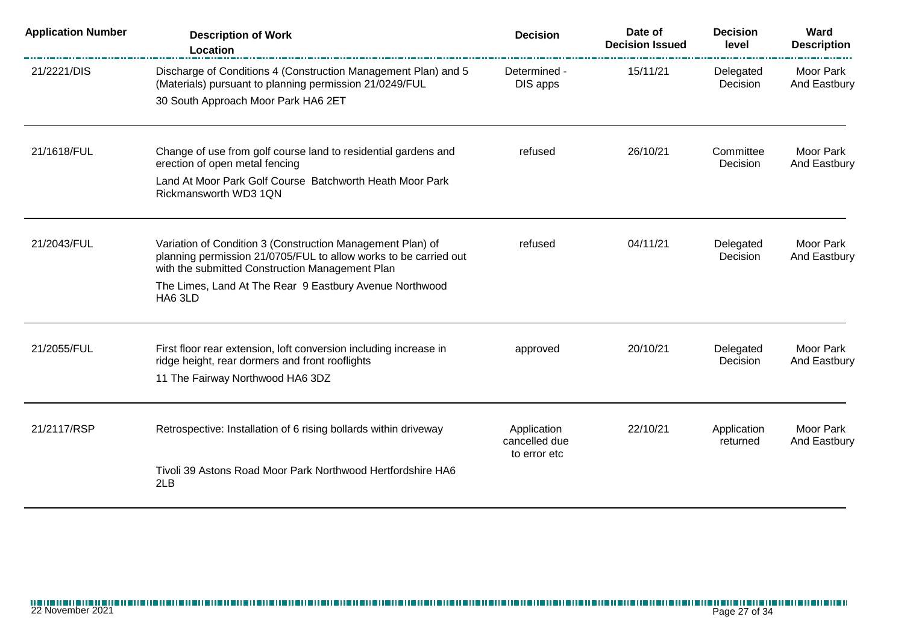| <b>Application Number</b> | <b>Description of Work</b><br><b>Location</b>                                                                                                                                     | <b>Decision</b>                              | Date of<br><b>Decision Issued</b> | <b>Decision</b><br>level | Ward<br><b>Description</b>       |
|---------------------------|-----------------------------------------------------------------------------------------------------------------------------------------------------------------------------------|----------------------------------------------|-----------------------------------|--------------------------|----------------------------------|
| 21/2221/DIS               | Discharge of Conditions 4 (Construction Management Plan) and 5<br>(Materials) pursuant to planning permission 21/0249/FUL<br>30 South Approach Moor Park HA6 2ET                  | Determined -<br>DIS apps                     | 15/11/21                          | Delegated<br>Decision    | Moor Park<br>And Eastbury        |
|                           |                                                                                                                                                                                   |                                              |                                   |                          |                                  |
| 21/1618/FUL               | Change of use from golf course land to residential gardens and<br>erection of open metal fencing                                                                                  | refused                                      | 26/10/21                          | Committee<br>Decision    | <b>Moor Park</b><br>And Eastbury |
|                           | Land At Moor Park Golf Course Batchworth Heath Moor Park<br>Rickmansworth WD3 1QN                                                                                                 |                                              |                                   |                          |                                  |
| 21/2043/FUL               | Variation of Condition 3 (Construction Management Plan) of<br>planning permission 21/0705/FUL to allow works to be carried out<br>with the submitted Construction Management Plan | refused                                      | 04/11/21                          | Delegated<br>Decision    | Moor Park<br>And Eastbury        |
|                           | The Limes, Land At The Rear 9 Eastbury Avenue Northwood<br>HA6 3LD                                                                                                                |                                              |                                   |                          |                                  |
| 21/2055/FUL               | First floor rear extension, loft conversion including increase in<br>ridge height, rear dormers and front rooflights                                                              | approved                                     | 20/10/21                          | Delegated<br>Decision    | Moor Park<br>And Eastbury        |
|                           | 11 The Fairway Northwood HA6 3DZ                                                                                                                                                  |                                              |                                   |                          |                                  |
| 21/2117/RSP               | Retrospective: Installation of 6 rising bollards within driveway                                                                                                                  | Application<br>cancelled due<br>to error etc | 22/10/21                          | Application<br>returned  | Moor Park<br>And Eastbury        |
|                           | Tivoli 39 Astons Road Moor Park Northwood Hertfordshire HA6<br>2LB                                                                                                                |                                              |                                   |                          |                                  |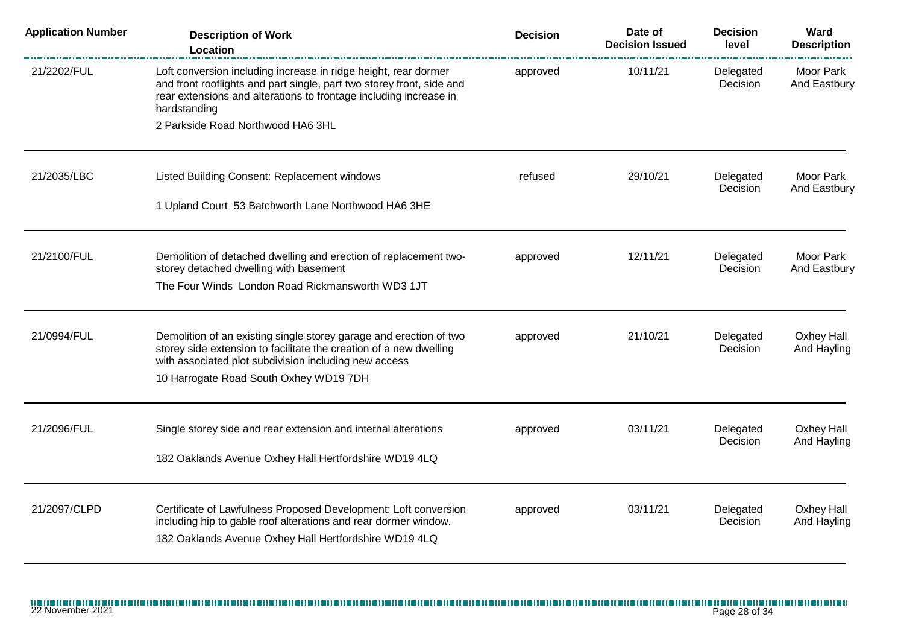| <b>Application Number</b> | <b>Description of Work</b><br>Location                                                                                                                                                                                        | <b>Decision</b> | Date of<br><b>Decision Issued</b> | <b>Decision</b><br>level | Ward<br><b>Description</b> |
|---------------------------|-------------------------------------------------------------------------------------------------------------------------------------------------------------------------------------------------------------------------------|-----------------|-----------------------------------|--------------------------|----------------------------|
| 21/2202/FUL               | Loft conversion including increase in ridge height, rear dormer<br>and front rooflights and part single, part two storey front, side and<br>rear extensions and alterations to frontage including increase in<br>hardstanding | approved        | 10/11/21                          | Delegated<br>Decision    | Moor Park<br>And Eastbury  |
|                           | 2 Parkside Road Northwood HA6 3HL                                                                                                                                                                                             |                 |                                   |                          |                            |
| 21/2035/LBC               | Listed Building Consent: Replacement windows                                                                                                                                                                                  | refused         | 29/10/21                          | Delegated<br>Decision    | Moor Park<br>And Eastbury  |
|                           | 1 Upland Court 53 Batchworth Lane Northwood HA6 3HE                                                                                                                                                                           |                 |                                   |                          |                            |
| 21/2100/FUL               | Demolition of detached dwelling and erection of replacement two-<br>storey detached dwelling with basement                                                                                                                    | approved        | 12/11/21                          | Delegated<br>Decision    | Moor Park<br>And Eastbury  |
|                           | The Four Winds London Road Rickmansworth WD3 1JT                                                                                                                                                                              |                 |                                   |                          |                            |
| 21/0994/FUL               | Demolition of an existing single storey garage and erection of two<br>storey side extension to facilitate the creation of a new dwelling<br>with associated plot subdivision including new access                             | approved        | 21/10/21                          | Delegated<br>Decision    | Oxhey Hall<br>And Hayling  |
|                           | 10 Harrogate Road South Oxhey WD19 7DH                                                                                                                                                                                        |                 |                                   |                          |                            |
| 21/2096/FUL               | Single storey side and rear extension and internal alterations                                                                                                                                                                | approved        | 03/11/21                          | Delegated                | Oxhey Hall                 |
|                           | 182 Oaklands Avenue Oxhey Hall Hertfordshire WD19 4LQ                                                                                                                                                                         |                 |                                   | Decision                 | And Hayling                |
| 21/2097/CLPD              | Certificate of Lawfulness Proposed Development: Loft conversion<br>including hip to gable roof alterations and rear dormer window.<br>182 Oaklands Avenue Oxhey Hall Hertfordshire WD19 4LQ                                   | approved        | 03/11/21                          | Delegated<br>Decision    | Oxhey Hall<br>And Hayling  |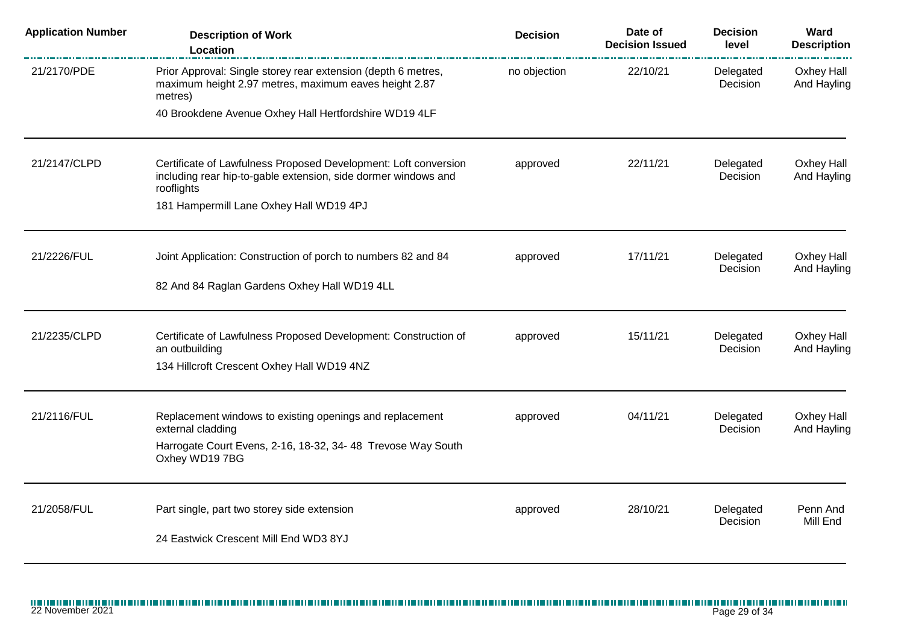| <b>Application Number</b> | <b>Description of Work</b><br>Location                                                                                                                                                     | <b>Decision</b> | Date of<br><b>Decision Issued</b> | <b>Decision</b><br>level | Ward<br><b>Description</b> |
|---------------------------|--------------------------------------------------------------------------------------------------------------------------------------------------------------------------------------------|-----------------|-----------------------------------|--------------------------|----------------------------|
| 21/2170/PDE               | Prior Approval: Single storey rear extension (depth 6 metres,<br>maximum height 2.97 metres, maximum eaves height 2.87<br>metres)                                                          | no objection    | 22/10/21                          | Delegated<br>Decision    | Oxhey Hall<br>And Hayling  |
|                           | 40 Brookdene Avenue Oxhey Hall Hertfordshire WD19 4LF                                                                                                                                      |                 |                                   |                          |                            |
| 21/2147/CLPD              | Certificate of Lawfulness Proposed Development: Loft conversion<br>including rear hip-to-gable extension, side dormer windows and<br>rooflights<br>181 Hampermill Lane Oxhey Hall WD19 4PJ | approved        | 22/11/21                          | Delegated<br>Decision    | Oxhey Hall<br>And Hayling  |
| 21/2226/FUL               | Joint Application: Construction of porch to numbers 82 and 84<br>82 And 84 Raglan Gardens Oxhey Hall WD19 4LL                                                                              | approved        | 17/11/21                          | Delegated<br>Decision    | Oxhey Hall<br>And Hayling  |
| 21/2235/CLPD              | Certificate of Lawfulness Proposed Development: Construction of<br>an outbuilding<br>134 Hillcroft Crescent Oxhey Hall WD19 4NZ                                                            | approved        | 15/11/21                          | Delegated<br>Decision    | Oxhey Hall<br>And Hayling  |
| 21/2116/FUL               | Replacement windows to existing openings and replacement<br>external cladding<br>Harrogate Court Evens, 2-16, 18-32, 34-48 Trevose Way South<br>Oxhey WD197BG                              | approved        | 04/11/21                          | Delegated<br>Decision    | Oxhey Hall<br>And Hayling  |
| 21/2058/FUL               | Part single, part two storey side extension<br>24 Eastwick Crescent Mill End WD3 8YJ                                                                                                       | approved        | 28/10/21                          | Delegated<br>Decision    | Penn And<br>Mill End       |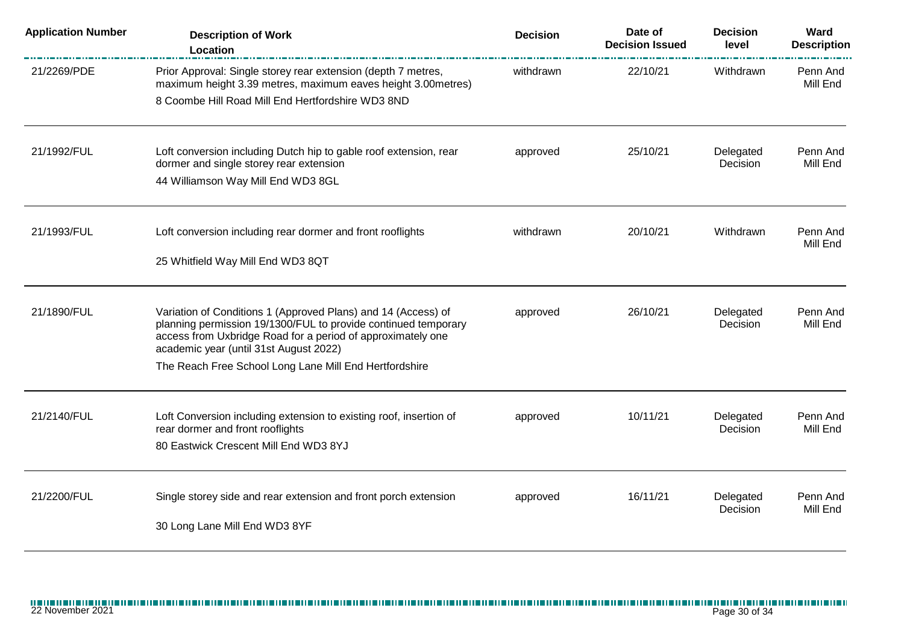| <b>Application Number</b> | <b>Description of Work</b><br>Location                                                                                                                                                                                                                                                             | <b>Decision</b> | Date of<br><b>Decision Issued</b> | <b>Decision</b><br>level | Ward<br><b>Description</b> |
|---------------------------|----------------------------------------------------------------------------------------------------------------------------------------------------------------------------------------------------------------------------------------------------------------------------------------------------|-----------------|-----------------------------------|--------------------------|----------------------------|
| 21/2269/PDE               | Prior Approval: Single storey rear extension (depth 7 metres,<br>maximum height 3.39 metres, maximum eaves height 3.00 metres)<br>8 Coombe Hill Road Mill End Hertfordshire WD3 8ND                                                                                                                | withdrawn       | 22/10/21                          | Withdrawn                | Penn And<br>Mill End       |
| 21/1992/FUL               | Loft conversion including Dutch hip to gable roof extension, rear<br>dormer and single storey rear extension<br>44 Williamson Way Mill End WD3 8GL                                                                                                                                                 | approved        | 25/10/21                          | Delegated<br>Decision    | Penn And<br>Mill End       |
| 21/1993/FUL               | Loft conversion including rear dormer and front rooflights<br>25 Whitfield Way Mill End WD3 8QT                                                                                                                                                                                                    | withdrawn       | 20/10/21                          | Withdrawn                | Penn And<br>Mill End       |
| 21/1890/FUL               | Variation of Conditions 1 (Approved Plans) and 14 (Access) of<br>planning permission 19/1300/FUL to provide continued temporary<br>access from Uxbridge Road for a period of approximately one<br>academic year (until 31st August 2022)<br>The Reach Free School Long Lane Mill End Hertfordshire | approved        | 26/10/21                          | Delegated<br>Decision    | Penn And<br>Mill End       |
| 21/2140/FUL               | Loft Conversion including extension to existing roof, insertion of<br>rear dormer and front rooflights<br>80 Eastwick Crescent Mill End WD3 8YJ                                                                                                                                                    | approved        | 10/11/21                          | Delegated<br>Decision    | Penn And<br>Mill End       |
| 21/2200/FUL               | Single storey side and rear extension and front porch extension<br>30 Long Lane Mill End WD3 8YF                                                                                                                                                                                                   | approved        | 16/11/21                          | Delegated<br>Decision    | Penn And<br>Mill End       |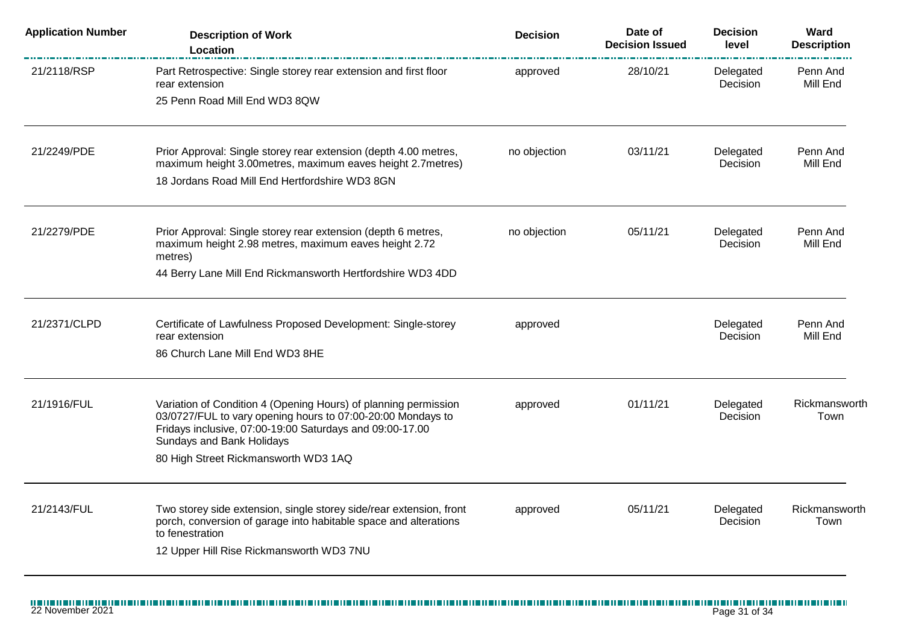| <b>Application Number</b> | <b>Description of Work</b><br><b>Location</b>                                                                                                                                                                           | <b>Decision</b> | Date of<br><b>Decision Issued</b> | <b>Decision</b><br>level | Ward<br><b>Description</b> |
|---------------------------|-------------------------------------------------------------------------------------------------------------------------------------------------------------------------------------------------------------------------|-----------------|-----------------------------------|--------------------------|----------------------------|
| 21/2118/RSP               | Part Retrospective: Single storey rear extension and first floor<br>rear extension                                                                                                                                      | approved        | 28/10/21                          | Delegated<br>Decision    | Penn And<br>Mill End       |
|                           | 25 Penn Road Mill End WD3 8QW                                                                                                                                                                                           |                 |                                   |                          |                            |
| 21/2249/PDE               | Prior Approval: Single storey rear extension (depth 4.00 metres,<br>maximum height 3.00metres, maximum eaves height 2.7metres)                                                                                          | no objection    | 03/11/21                          | Delegated<br>Decision    | Penn And<br>Mill End       |
|                           | 18 Jordans Road Mill End Hertfordshire WD3 8GN                                                                                                                                                                          |                 |                                   |                          |                            |
| 21/2279/PDE               | Prior Approval: Single storey rear extension (depth 6 metres,<br>maximum height 2.98 metres, maximum eaves height 2.72                                                                                                  | no objection    | 05/11/21                          | Delegated<br>Decision    | Penn And<br>Mill End       |
|                           | metres)<br>44 Berry Lane Mill End Rickmansworth Hertfordshire WD3 4DD                                                                                                                                                   |                 |                                   |                          |                            |
| 21/2371/CLPD              | Certificate of Lawfulness Proposed Development: Single-storey                                                                                                                                                           | approved        |                                   | Delegated                | Penn And                   |
|                           | rear extension                                                                                                                                                                                                          |                 |                                   | Decision                 | Mill End                   |
|                           | 86 Church Lane Mill End WD3 8HE                                                                                                                                                                                         |                 |                                   |                          |                            |
| 21/1916/FUL               | Variation of Condition 4 (Opening Hours) of planning permission<br>03/0727/FUL to vary opening hours to 07:00-20:00 Mondays to<br>Fridays inclusive, 07:00-19:00 Saturdays and 09:00-17.00<br>Sundays and Bank Holidays | approved        | 01/11/21                          | Delegated<br>Decision    | Rickmansworth<br>Town      |
|                           | 80 High Street Rickmansworth WD3 1AQ                                                                                                                                                                                    |                 |                                   |                          |                            |
| 21/2143/FUL               | Two storey side extension, single storey side/rear extension, front<br>porch, conversion of garage into habitable space and alterations<br>to fenestration                                                              | approved        | 05/11/21                          | Delegated<br>Decision    | Rickmansworth<br>Town      |
|                           | 12 Upper Hill Rise Rickmansworth WD3 7NU                                                                                                                                                                                |                 |                                   |                          |                            |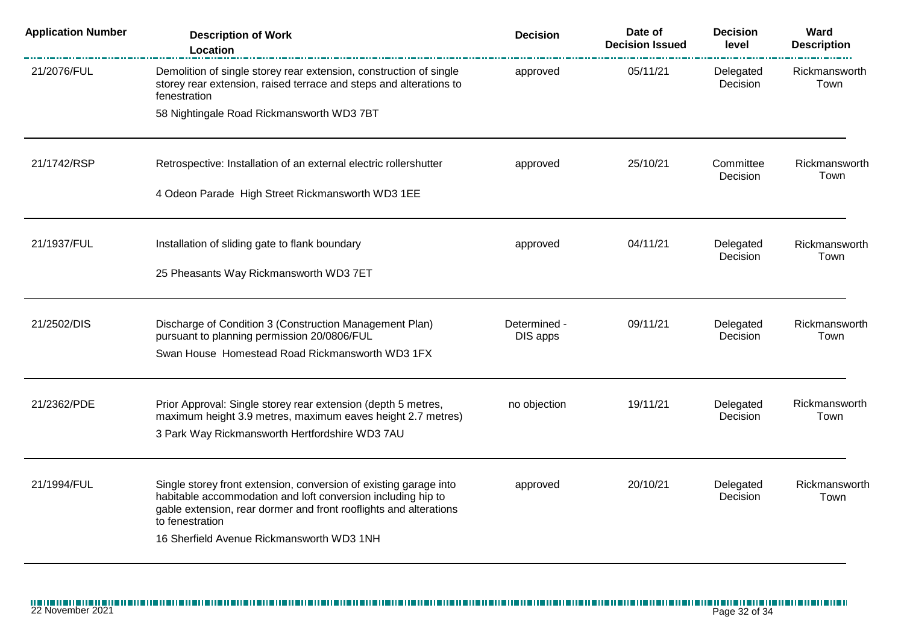| <b>Application Number</b> | <b>Description of Work</b><br>Location                                                                                                                   | <b>Decision</b>          | Date of<br><b>Decision Issued</b> | <b>Decision</b><br>level | Ward<br><b>Description</b> |
|---------------------------|----------------------------------------------------------------------------------------------------------------------------------------------------------|--------------------------|-----------------------------------|--------------------------|----------------------------|
| 21/2076/FUL               | Demolition of single storey rear extension, construction of single<br>storey rear extension, raised terrace and steps and alterations to<br>fenestration | approved                 | 05/11/21                          | Delegated<br>Decision    | Rickmansworth<br>Town      |
|                           | 58 Nightingale Road Rickmansworth WD3 7BT                                                                                                                |                          |                                   |                          |                            |
| 21/1742/RSP               | Retrospective: Installation of an external electric rollershutter                                                                                        | approved                 | 25/10/21                          | Committee<br>Decision    | Rickmansworth<br>Town      |
|                           | 4 Odeon Parade High Street Rickmansworth WD3 1EE                                                                                                         |                          |                                   |                          |                            |
| 21/1937/FUL               | Installation of sliding gate to flank boundary                                                                                                           | approved                 | 04/11/21                          | Delegated<br>Decision    | Rickmansworth<br>Town      |
|                           | 25 Pheasants Way Rickmansworth WD3 7ET                                                                                                                   |                          |                                   |                          |                            |
| 21/2502/DIS               | Discharge of Condition 3 (Construction Management Plan)<br>pursuant to planning permission 20/0806/FUL                                                   | Determined -<br>DIS apps | 09/11/21                          | Delegated<br>Decision    | Rickmansworth<br>Town      |
|                           | Swan House Homestead Road Rickmansworth WD3 1FX                                                                                                          |                          |                                   |                          |                            |
| 21/2362/PDE               | Prior Approval: Single storey rear extension (depth 5 metres,                                                                                            | no objection             | 19/11/21                          | Delegated                | Rickmansworth              |
|                           | maximum height 3.9 metres, maximum eaves height 2.7 metres)<br>3 Park Way Rickmansworth Hertfordshire WD3 7AU                                            |                          |                                   | Decision                 | Town                       |
| 21/1994/FUL               | Single storey front extension, conversion of existing garage into                                                                                        | approved                 | 20/10/21                          | Delegated                | Rickmansworth              |
|                           | habitable accommodation and loft conversion including hip to<br>gable extension, rear dormer and front rooflights and alterations<br>to fenestration     |                          |                                   | Decision                 | Town                       |
|                           | 16 Sherfield Avenue Rickmansworth WD3 1NH                                                                                                                |                          |                                   |                          |                            |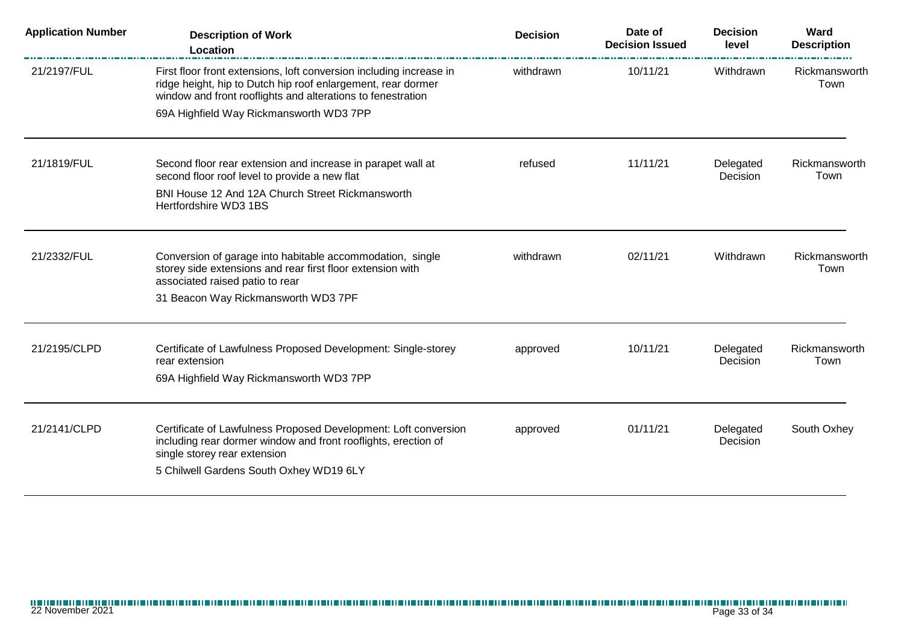| <b>Application Number</b> | <b>Description of Work</b><br><b>Location</b>                                                                                                                                                      | <b>Decision</b> | Date of<br><b>Decision Issued</b> | <b>Decision</b><br>level | Ward<br><b>Description</b> |
|---------------------------|----------------------------------------------------------------------------------------------------------------------------------------------------------------------------------------------------|-----------------|-----------------------------------|--------------------------|----------------------------|
| 21/2197/FUL               | First floor front extensions, loft conversion including increase in<br>ridge height, hip to Dutch hip roof enlargement, rear dormer<br>window and front rooflights and alterations to fenestration | withdrawn       | 10/11/21                          | Withdrawn                | Rickmansworth<br>Town      |
|                           | 69A Highfield Way Rickmansworth WD3 7PP                                                                                                                                                            |                 |                                   |                          |                            |
| 21/1819/FUL               | Second floor rear extension and increase in parapet wall at<br>second floor roof level to provide a new flat                                                                                       | refused         | 11/11/21                          | Delegated<br>Decision    | Rickmansworth<br>Town      |
|                           | BNI House 12 And 12A Church Street Rickmansworth<br>Hertfordshire WD3 1BS                                                                                                                          |                 |                                   |                          |                            |
| 21/2332/FUL               | Conversion of garage into habitable accommodation, single<br>storey side extensions and rear first floor extension with<br>associated raised patio to rear                                         | withdrawn       | 02/11/21                          | Withdrawn                | Rickmansworth<br>Town      |
|                           | 31 Beacon Way Rickmansworth WD3 7PF                                                                                                                                                                |                 |                                   |                          |                            |
| 21/2195/CLPD              | Certificate of Lawfulness Proposed Development: Single-storey<br>rear extension<br>69A Highfield Way Rickmansworth WD3 7PP                                                                         | approved        | 10/11/21                          | Delegated<br>Decision    | Rickmansworth<br>Town      |
|                           |                                                                                                                                                                                                    |                 |                                   |                          |                            |
| 21/2141/CLPD              | Certificate of Lawfulness Proposed Development: Loft conversion<br>including rear dormer window and front rooflights, erection of<br>single storey rear extension                                  | approved        | 01/11/21                          | Delegated<br>Decision    | South Oxhey                |
|                           | 5 Chilwell Gardens South Oxhey WD19 6LY                                                                                                                                                            |                 |                                   |                          |                            |